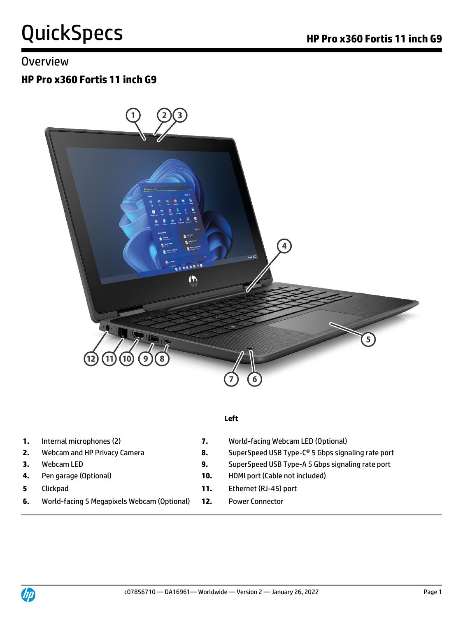### Overview

### **HP Pro x360 Fortis 11 inch G9**



#### **Left**

- 
- 
- 
- 
- 
- **6.** World-facing 5 Megapixels Webcam (Optional) **12.** Power Connector
- **1.** Internal microphones (2) **7.** World-facing Webcam LED (Optional)
- **2.** Webcam and HP Privacy Camera **8.** SuperSpeed USB Type-C® 5 Gbps signaling rate port
- **3.** Webcam LED **9.** SuperSpeed USB Type-A 5 Gbps signaling rate port
- **4.** Pen garage (Optional) **10.** HDMI port (Cable not included)
- **5** Clickpad **11.** Ethernet (RJ-45) port
	-

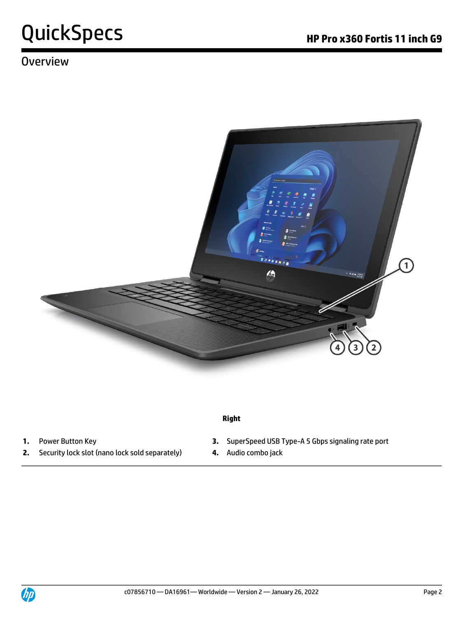### **Overview**



#### **Right**

- 
- **2.** Security lock slot (nano lock sold separately) **4.** Audio combo jack
- **1.** Power Button Key **3.** SuperSpeed USB Type-A 5 Gbps signaling rate port
	-

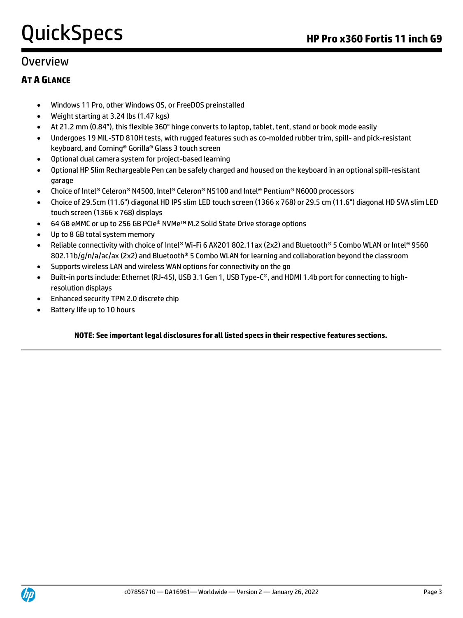### Overview

#### **AT A GLANCE**

- Windows 11 Pro, other Windows OS, or FreeDOS preinstalled
- Weight starting at 3.24 lbs (1.47 kgs)
- At 21.2 mm (0.84"), this flexible 360° hinge converts to laptop, tablet, tent, stand or book mode easily
- Undergoes 19 MIL-STD 810H tests, with rugged features such as co-molded rubber trim, spill- and pick-resistant keyboard, and Corning® Gorilla® Glass 3 touch screen
- Optional dual camera system for project-based learning
- Optional HP Slim Rechargeable Pen can be safely charged and housed on the keyboard in an optional spill-resistant garage
- Choice of Intel® Celeron® N4500, Intel® Celeron® N5100 and Intel® Pentium® N6000 processors
- Choice of 29.5cm (11.6") diagonal HD IPS slim LED touch screen (1366 x 768) or 29.5 cm (11.6") diagonal HD SVA slim LED touch screen (1366 x 768) displays
- 64 GB eMMC or up to 256 GB PCIe® NVMe™ M.2 Solid State Drive storage options
- Up to 8 GB total system memory
- Reliable connectivity with choice of Intel® Wi-Fi 6 AX201 802.11ax (2x2) and Bluetooth® 5 Combo WLAN or Intel® 9560 802.11b/g/n/a/ac/ax (2x2) and Bluetooth® 5 Combo WLAN for learning and collaboration beyond the classroom
- Supports wireless LAN and wireless WAN options for connectivity on the go
- Built-in ports include: Ethernet (RJ-45), USB 3.1 Gen 1, USB Type-C®, and HDMI 1.4b port for connecting to highresolution displays
- Enhanced security TPM 2.0 discrete chip
- Battery life up to 10 hours

#### **NOTE: See important legal disclosures for all listed specs in their respective features sections.**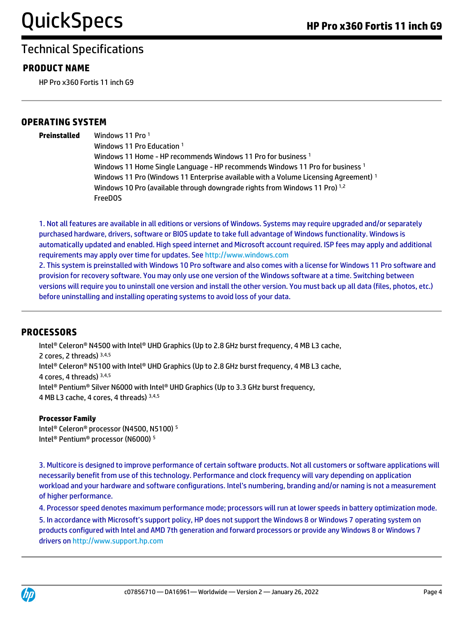#### **PRODUCT NAME**

HP Pro x360 Fortis 11 inch G9

#### **OPERATING SYSTEM**

**Preinstalled** Windows 11 Pro <sup>1</sup> Windows 11 Pro Education <sup>1</sup> Windows 11 Home - HP recommends Windows 11 Pro for business<sup>1</sup> Windows 11 Home Single Language - HP recommends Windows 11 Pro for business <sup>1</sup> Windows 11 Pro (Windows 11 Enterprise available with a Volume Licensing Agreement)<sup>1</sup> Windows 10 Pro (available through downgrade rights from Windows 11 Pro)<sup>1,2</sup> FreeDOS

1. Not all features are available in all editions or versions of Windows. Systems may require upgraded and/or separately purchased hardware, drivers, software or BIOS update to take full advantage of Windows functionality. Windows is automatically updated and enabled. High speed internet and Microsoft account required. ISP fees may apply and additional requirements may apply over time for updates. See [http://www.windows.com](http://www.windows.com/)

2. This system is preinstalled with Windows 10 Pro software and also comes with a license for Windows 11 Pro software and provision for recovery software. You may only use one version of the Windows software at a time. Switching between versions will require you to uninstall one version and install the other version. You must back up all data (files, photos, etc.) before uninstalling and installing operating systems to avoid loss of your data.

#### **PROCESSORS**

Intel® Celeron® N4500 with Intel® UHD Graphics (Up to 2.8 GHz burst frequency, 4 MB L3 cache, 2 cores, 2 threads) 3,4,5 Intel® Celeron® N5100 with Intel® UHD Graphics (Up to 2.8 GHz burst frequency, 4 MB L3 cache, 4 cores, 4 threads) 3,4,5 Intel® Pentium® Silver N6000 with Intel® UHD Graphics (Up to 3.3 GHz burst frequency, 4 MB L3 cache, 4 cores, 4 threads) 3,4,5

#### **Processor Family**

Intel® Celeron® processor (N4500, N5100) <sup>5</sup> Intel® Pentium® processor (N6000) <sup>5</sup>

3. Multicore is designed to improve performance of certain software products. Not all customers or software applications will necessarily benefit from use of this technology. Performance and clock frequency will vary depending on application workload and your hardware and software configurations. Intel's numbering, branding and/or naming is not a measurement of higher performance.

4. Processor speed denotes maximum performance mode; processors will run at lower speeds in battery optimization mode.

5. In accordance with Microsoft's support policy, HP does not support the Windows 8 or Windows 7 operating system on products configured with Intel and AMD 7th generation and forward processors or provide any Windows 8 or Windows 7 drivers o[n http://www.support.hp.com](http://www.support.hp.com/)

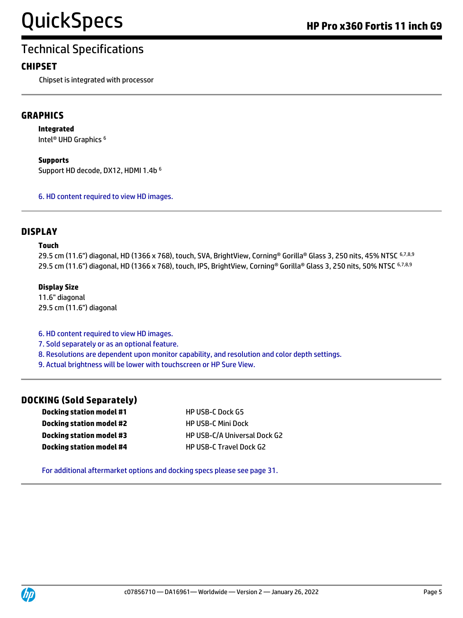#### **CHIPSET**

Chipset is integrated with processor

#### **GRAPHICS**

**Integrated**

Intel® UHD Graphics <sup>6</sup>

**Supports**

Support HD decode, DX12, HDMI 1.4b <sup>6</sup>

6. HD content required to view HD images.

#### **DISPLAY**

#### **Touch**

29.5 cm (11.6") diagonal, HD (1366 x 768), touch, SVA, BrightView, Corning® Gorilla® Glass 3, 250 nits, 45% NTSC 6,7,8,9 29.5 cm (11.6") diagonal, HD (1366 x 768), touch, IPS, BrightView, Corning® Gorilla® Glass 3, 250 nits, 50% NTSC 6,7,8,9

#### **Display Size**

11.6" diagonal 29.5 cm (11.6") diagonal

6. HD content required to view HD images.

- 7. Sold separately or as an optional feature.
- 8. Resolutions are dependent upon monitor capability, and resolution and color depth settings.
- 9. Actual brightness will be lower with touchscreen or HP Sure View.

#### **DOCKING (Sold Separately)**

**Docking station model #1** HP USB-C Dock G5 **Docking station model #2** HP USB-C Mini Dock **Docking station model #4** HP USB-C Travel Dock G2

**Docking station model #3** HP USB-C/A Universal Dock G2

For additional aftermarket options and docking specs please see page 31.

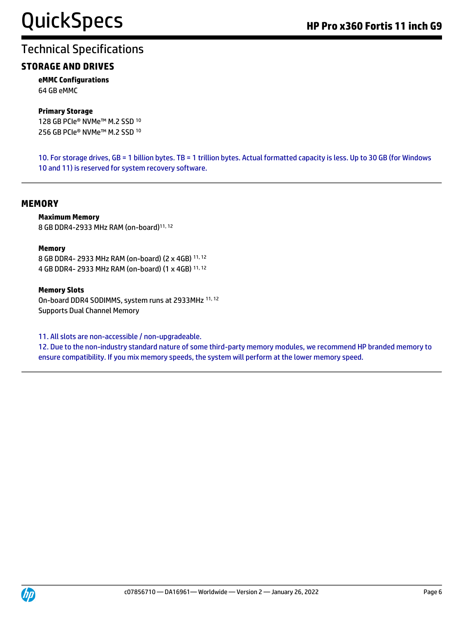#### **STORAGE AND DRIVES**

**eMMC Configurations** 64 GB eMMC

#### **Primary Storage**

128 GB PCIe® NVMe™ M.2 SSD <sup>10</sup> 256 GB PCIe® NVMe™ M.2 SSD <sup>10</sup>

10. For storage drives, GB = 1 billion bytes. TB = 1 trillion bytes. Actual formatted capacity is less. Up to 30 GB (for Windows 10 and 11) is reserved for system recovery software.

#### **MEMORY**

#### **Maximum Memory**

8 GB DDR4-2933 MHz RAM (on-board)11, 12

#### **Memory**

8 GB DDR4- 2933 MHz RAM (on-board) (2 x 4GB) 11, 12 4 GB DDR4- 2933 MHz RAM (on-board) (1 x 4GB) 11, 12

#### **Memory Slots**

On-board DDR4 SODIMMS, system runs at 2933MHz 11, 12 Supports Dual Channel Memory

11. All slots are non-accessible / non-upgradeable.

12. Due to the non-industry standard nature of some third-party memory modules, we recommend HP branded memory to ensure compatibility. If you mix memory speeds, the system will perform at the lower memory speed.

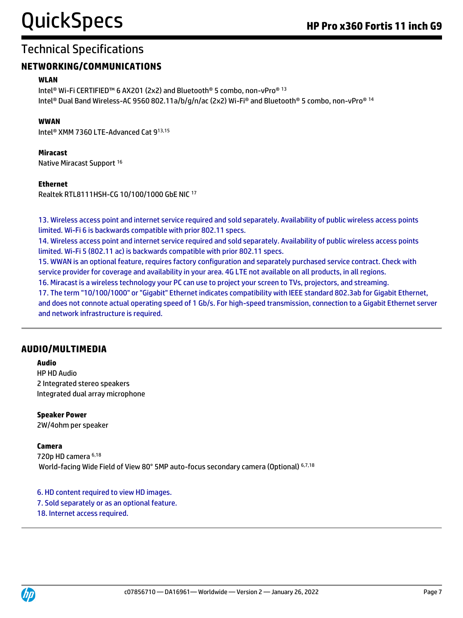#### **NETWORKING/COMMUNICATIONS**

#### **WLAN**

Intel® Wi-Fi CERTIFIED™ 6 AX201 (2x2) and Bluetooth® 5 combo, non-vPro® <sup>13</sup> Intel® Dual Band Wireless-AC 9560 802.11a/b/g/n/ac (2x2) Wi-Fi® and Bluetooth® 5 combo, non-vPro® <sup>14</sup>

#### **WWAN**

Intel® XMM 7360 LTE-Advanced Cat 913,15

#### **Miracast**

Native Miracast Support <sup>16</sup>

#### **Ethernet**

Realtek RTL8111HSH-CG 10/100/1000 GbE NIC <sup>17</sup>

13. Wireless access point and internet service required and sold separately. Availability of public wireless access points limited. Wi-Fi 6 is backwards compatible with prior 802.11 specs.

14. Wireless access point and internet service required and sold separately. Availability of public wireless access points limited. Wi-Fi 5 (802.11 ac) is backwards compatible with prior 802.11 specs.

15. WWAN is an optional feature, requires factory configuration and separately purchased service contract. Check with service provider for coverage and availability in your area. 4G LTE not available on all products, in all regions.

16. Miracast is a wireless technology your PC can use to project your screen to TVs, projectors, and streaming.

17. The term "10/100/1000" or "Gigabit" Ethernet indicates compatibility with IEEE standard 802.3ab for Gigabit Ethernet, and does not connote actual operating speed of 1 Gb/s. For high-speed transmission, connection to a Gigabit Ethernet server and network infrastructure is required.

#### **AUDIO/MULTIMEDIA**

#### **Audio**

HP HD Audio 2 Integrated stereo speakers Integrated dual array microphone

**Speaker Power** 2W/4ohm per speaker

#### **Camera**

720p HD camera 6,18 World-facing Wide Field of View 80° 5MP auto-focus secondary camera (Optional) 6,7,18

6. HD content required to view HD images. 7. Sold separately or as an optional feature. 18. Internet access required.

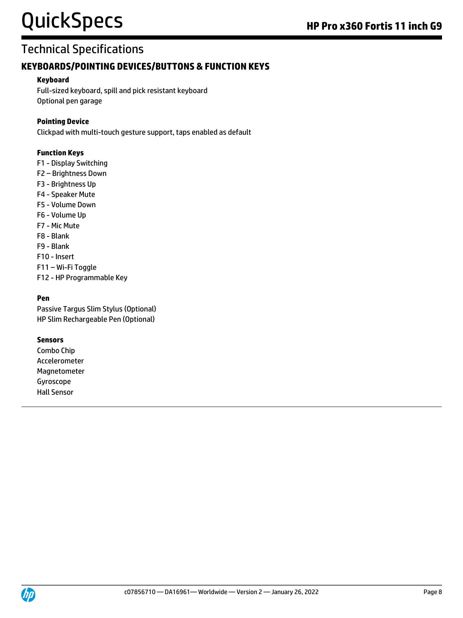## Technical Specifications

#### **KEYBOARDS/POINTING DEVICES/BUTTONS & FUNCTION KEYS**

#### **Keyboard**

Full-sized keyboard, spill and pick resistant keyboard Optional pen garage

#### **Pointing Device**

Clickpad with multi-touch gesture support, taps enabled as default

#### **Function Keys**

- F1 Display Switching
- F2 Brightness Down
- F3 Brightness Up
- F4 Speaker Mute
- F5 Volume Down
- F6 Volume Up
- F7 Mic Mute
- F8 Blank
- F9 Blank
- F10 Insert
- F11 Wi-Fi Toggle
- F12 HP Programmable Key

#### **Pen**

Passive Targus Slim Stylus (Optional) HP Slim Rechargeable Pen (Optional)

#### **Sensors**

Combo Chip Accelerometer Magnetometer Gyroscope Hall Sensor

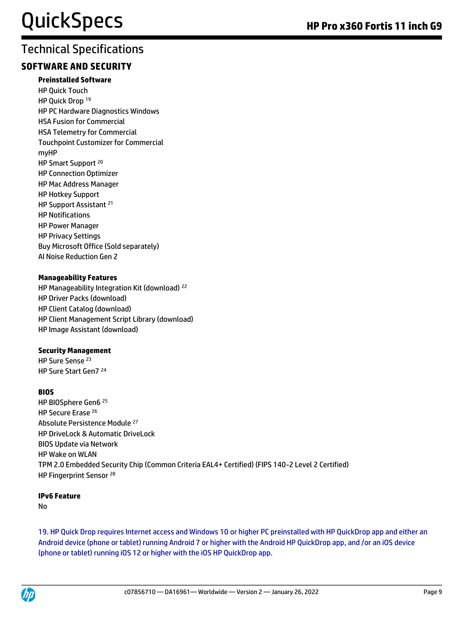#### **SOFTWARE AND SECURITY**

#### **Preinstalled Software**

HP Quick Touch HP Quick Drop <sup>19</sup> HP PC Hardware Diagnostics Windows HSA Fusion for Commercial HSA Telemetry for Commercial Touchpoint Customizer for Commercial myHP HP Smart Support<sup>20</sup> HP Connection Optimizer HP Mac Address Manager HP Hotkey Support HP Support Assistant <sup>21</sup> HP Notifications HP Power Manager HP Privacy Settings Buy Microsoft Office (Sold separately) AI Noise Reduction Gen 2

#### **Manageability Features**

HP Manageability Integration Kit (download) <sup>22</sup> HP Driver Packs (download) HP Client Catalog (download) HP Client Management Script Library (download) HP Image Assistant (download)

#### **Security Management**

HP Sure Sense <sup>23</sup> HP Sure Start Gen7 <sup>24</sup>

#### **BIOS**

HP BIOSphere Gen6 <sup>25</sup> HP Secure Erase <sup>26</sup> Absolute Persistence Module <sup>27</sup> HP DriveLock & Automatic DriveLock BIOS Update via Network HP Wake on WLAN TPM 2.0 Embedded Security Chip (Common Criteria EAL4+ Certified) (FIPS 140-2 Level 2 Certified) HP Fingerprint Sensor<sup>28</sup>

#### **IPv6 Feature**

No

19. HP Quick Drop requires Internet access and Windows 10 or higher PC preinstalled with HP QuickDrop app and either an Android device (phone or tablet) running Android 7 or higher with the Android HP QuickDrop app, and /or an iOS device (phone or tablet) running iOS 12 or higher with the iOS HP QuickDrop app.

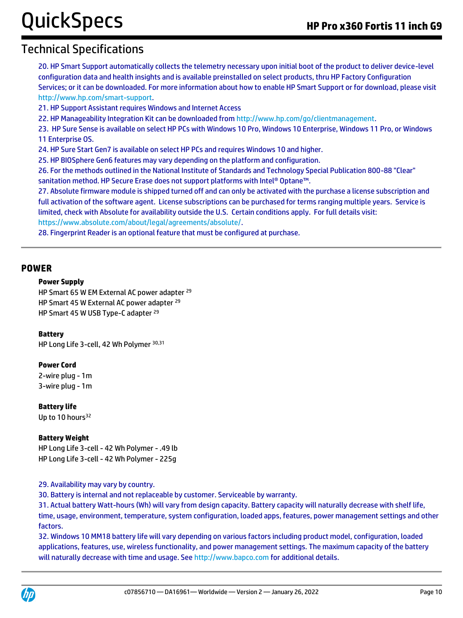### Technical Specifications

20. HP Smart Support automatically collects the telemetry necessary upon initial boot of the product to deliver device-level configuration data and health insights and is available preinstalled on select products, thru HP Factory Configuration Services; or it can be downloaded. For more information about how to enable HP Smart Support or for download, please visit [http://www.hp.com/smart-support.](http://www.hp.com/smart-support)

21. HP Support Assistant requires Windows and Internet Access

22. HP Manageability Integration Kit can be downloaded fro[m http://www.hp.com/go/clientmanagement.](http://www.hp.com/go/clientmanagement)

23. HP Sure Sense is available on select HP PCs with Windows 10 Pro, Windows 10 Enterprise, Windows 11 Pro, or Windows 11 Enterprise OS.

24. HP Sure Start Gen7 is available on select HP PCs and requires Windows 10 and higher.

25. HP BIOSphere Gen6 features may vary depending on the platform and configuration.

26. For the methods outlined in the National Institute of Standards and Technology Special Publication 800-88 "Clear" sanitation method. HP Secure Erase does not support platforms with Intel® Optane™.

27. Absolute firmware module is shipped turned off and can only be activated with the purchase a license subscription and full activation of the software agent. License subscriptions can be purchased for terms ranging multiple years. Service is limited, check with Absolute for availability outside the U.S. Certain conditions apply. For full details visit: [https://www.absolute.com/about/legal/agreements/absolute/.](https://www.absolute.com/about/legal/agreements/absolute/)

28. Fingerprint Reader is an optional feature that must be configured at purchase.

#### **POWER**

#### **Power Supply**

HP Smart 65 W EM External AC power adapter <sup>29</sup> HP Smart 45 W External AC power adapter <sup>29</sup> HP Smart 45 W USB Type-C adapter <sup>29</sup>

#### **Battery**

HP Long Life 3-cell, 42 Wh Polymer 30,31

#### **Power Cord**

2-wire plug - 1m 3-wire plug - 1m

**Battery life** Up to 10 hours<sup>32</sup>

#### **Battery Weight**

HP Long Life 3-cell - 42 Wh Polymer - .49 lb HP Long Life 3-cell - 42 Wh Polymer - 225g

#### 29. Availability may vary by country.

30. Battery is internal and not replaceable by customer. Serviceable by warranty.

31. Actual battery Watt-hours (Wh) will vary from design capacity. Battery capacity will naturally decrease with shelf life, time, usage, environment, temperature, system configuration, loaded apps, features, power management settings and other factors.

32. Windows 10 MM18 battery life will vary depending on various factors including product model, configuration, loaded applications, features, use, wireless functionality, and power management settings. The maximum capacity of the battery will naturally decrease with time and usage. See http://www.bapco.com for additional details.

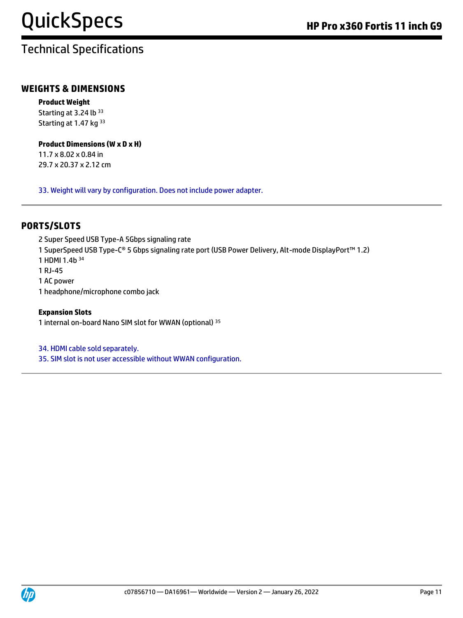#### **WEIGHTS & DIMENSIONS**

**Product Weight** Starting at 3.24 lb 33 Starting at 1.47 kg 33

#### **Product Dimensions (W x D x H)**

11.7 x 8.02 x 0.84 in 29.7 x 20.37 x 2.12 cm

33. Weight will vary by configuration. Does not include power adapter.

#### **PORTS/SLOTS**

2 Super Speed USB Type-A 5Gbps signaling rate 1 SuperSpeed USB Type-C® 5 Gbps signaling rate port (USB Power Delivery, Alt-mode DisplayPort™ 1.2) 1 HDMI 1.4b <sup>34</sup> 1 RJ-45 1 AC power 1 headphone/microphone combo jack

#### **Expansion Slots**

1 internal on-board Nano SIM slot for WWAN (optional) <sup>35</sup>

34. HDMI cable sold separately.

35. SIM slot is not user accessible without WWAN configuration.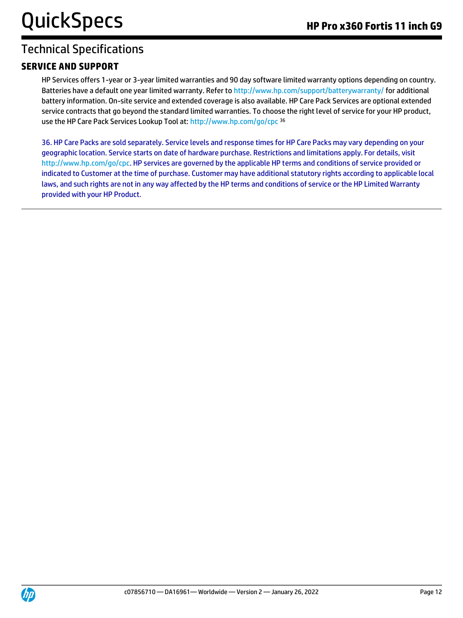#### **SERVICE AND SUPPORT**

HP Services offers 1-year or 3-year limited warranties and 90 day software limited warranty options depending on country. Batteries have a default one year limited warranty. Refer to<http://www.hp.com/support/batterywarranty/> for additional battery information. On-site service and extended coverage is also available. HP Care Pack Services are optional extended service contracts that go beyond the standard limited warranties. To choose the right level of service for your HP product, use the HP Care Pack Services Lookup Tool at:<http://www.hp.com/go/cpc> <sup>36</sup>

36. HP Care Packs are sold separately. Service levels and response times for HP Care Packs may vary depending on your geographic location. Service starts on date of hardware purchase. Restrictions and limitations apply. For details, visit [http://www.hp.com/go/cpc.](http://www.hp.com/go/cpc) HP services are governed by the applicable HP terms and conditions of service provided or indicated to Customer at the time of purchase. Customer may have additional statutory rights according to applicable local laws, and such rights are not in any way affected by the HP terms and conditions of service or the HP Limited Warranty provided with your HP Product.

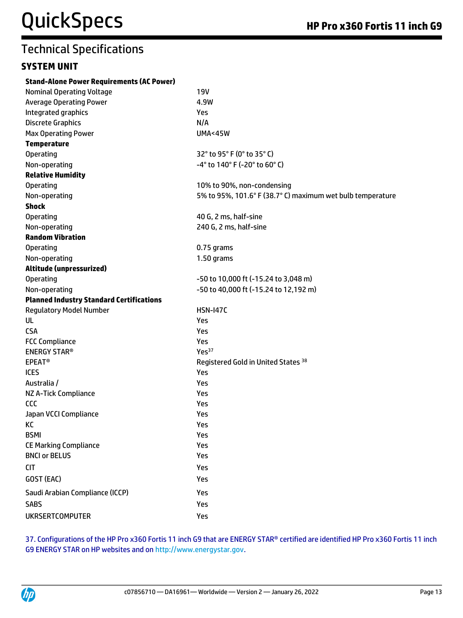#### **SYSTEM UNIT**

| <b>Stand-Alone Power Requirements (AC Power)</b> |                                                            |
|--------------------------------------------------|------------------------------------------------------------|
| <b>Nominal Operating Voltage</b>                 | <b>19V</b>                                                 |
| <b>Average Operating Power</b>                   | 4.9W                                                       |
| Integrated graphics                              | Yes                                                        |
| <b>Discrete Graphics</b>                         | N/A                                                        |
| <b>Max Operating Power</b>                       | <b>UMA&lt;45W</b>                                          |
| <b>Temperature</b>                               |                                                            |
| Operating                                        | 32° to 95° F (0° to 35° C)                                 |
| Non-operating                                    | -4° to 140° F (-20° to 60° C)                              |
| <b>Relative Humidity</b>                         |                                                            |
| <b>Operating</b>                                 | 10% to 90%, non-condensing                                 |
| Non-operating                                    | 5% to 95%, 101.6° F (38.7° C) maximum wet bulb temperature |
| <b>Shock</b>                                     |                                                            |
| <b>Operating</b>                                 | 40 G, 2 ms, half-sine                                      |
| Non-operating                                    | 240 G, 2 ms, half-sine                                     |
| <b>Random Vibration</b>                          |                                                            |
| <b>Operating</b>                                 | 0.75 grams                                                 |
| Non-operating                                    | 1.50 grams                                                 |
| Altitude (unpressurized)                         |                                                            |
| <b>Operating</b>                                 | -50 to 10,000 ft (-15.24 to 3,048 m)                       |
| Non-operating                                    | -50 to 40,000 ft (-15.24 to 12,192 m)                      |
| <b>Planned Industry Standard Certifications</b>  |                                                            |
| <b>Regulatory Model Number</b>                   | <b>HSN-147C</b>                                            |
| UL                                               | <b>Yes</b>                                                 |
| <b>CSA</b>                                       | Yes                                                        |
| <b>FCC Compliance</b>                            | Yes                                                        |
| <b>ENERGY STAR®</b>                              | Yes <sup>37</sup>                                          |
| <b>EPEAT<sup>®</sup></b>                         | Registered Gold in United States 38                        |
| <b>ICES</b>                                      | Yes                                                        |
| Australia /                                      | Yes                                                        |
| NZ A-Tick Compliance                             | Yes                                                        |
| <b>CCC</b>                                       | Yes                                                        |
| Japan VCCI Compliance                            | Yes                                                        |
| КC                                               | Yes                                                        |
| <b>BSMI</b>                                      | Yes                                                        |
| <b>CE Marking Compliance</b>                     | Yes                                                        |
| <b>BNCI or BELUS</b>                             | Yes                                                        |
| <b>CIT</b>                                       | Yes                                                        |
| GOST (EAC)                                       | Yes                                                        |
| Saudi Arabian Compliance (ICCP)                  | Yes                                                        |
| <b>SABS</b>                                      | Yes                                                        |
| <b>UKRSERTCOMPUTER</b>                           | Yes                                                        |

37. Configurations of the HP Pro x360 Fortis 11 inch G9 that are ENERGY STAR® certified are identified HP Pro x360 Fortis 11 inch G9 ENERGY STAR on HP websites and o[n http://www.energystar.gov.](http://www.energystar.gov/)

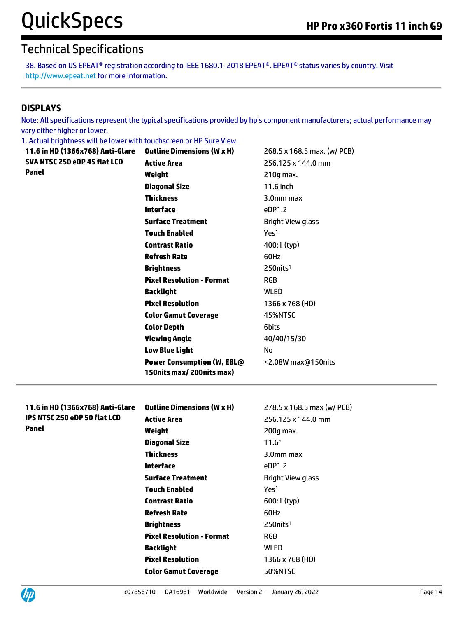38. Based on US EPEAT® registration according to IEEE 1680.1-2018 EPEAT®. EPEAT® status varies by country. Visit http://www.epeat.net for more information.

#### **DISPLAYS**

Note: All specifications represent the typical specifications provided by hp's component manufacturers; actual performance may vary either higher or lower.

1. Actual brightness will be lower with touchscreen or HP Sure View.

| <b>Outline Dimensions (W x H)</b><br>11.6 in HD (1366x768) Anti-Glare |                                   | 268.5 x 168.5 max. (w/ PCB) |
|-----------------------------------------------------------------------|-----------------------------------|-----------------------------|
| SVA NTSC 250 eDP 45 flat LCD                                          | <b>Active Area</b>                | 256.125 x 144.0 mm          |
| Panel                                                                 | Weight                            | 210g max.                   |
|                                                                       | <b>Diagonal Size</b>              | 11.6 inch                   |
|                                                                       | <b>Thickness</b>                  | 3.0mm max                   |
|                                                                       | <b>Interface</b>                  | eDP1.2                      |
|                                                                       | <b>Surface Treatment</b>          | <b>Bright View glass</b>    |
|                                                                       | <b>Touch Enabled</b>              | Yes <sup>1</sup>            |
|                                                                       | <b>Contrast Ratio</b>             | 400:1 (typ)                 |
|                                                                       | <b>Refresh Rate</b>               | 60Hz                        |
|                                                                       | <b>Brightness</b>                 | $250$ nits <sup>1</sup>     |
|                                                                       | <b>Pixel Resolution - Format</b>  | RGB                         |
|                                                                       | <b>Backlight</b>                  | WLED                        |
|                                                                       | <b>Pixel Resolution</b>           | 1366 x 768 (HD)             |
|                                                                       | <b>Color Gamut Coverage</b>       | 45%NTSC                     |
|                                                                       | <b>Color Depth</b>                | 6bits                       |
|                                                                       | <b>Viewing Angle</b>              | 40/40/15/30                 |
|                                                                       | <b>Low Blue Light</b>             | No.                         |
|                                                                       | <b>Power Consumption (W, EBL@</b> | <2.08W max@150nits          |
|                                                                       | 150nits max/200nits max)          |                             |
|                                                                       |                                   |                             |
| 11.6 in HD (1366x768) Anti-Glare                                      | <b>Outline Dimensions (W x H)</b> | 278.5 x 168.5 max (w/ PCB)  |
| IPS NTSC 250 eDP 50 flat LCD                                          | <b>Active Area</b>                | 256.125 x 144.0 mm          |
| <b>Panel</b>                                                          | Weight                            | 200g max.                   |
|                                                                       | <b>Diagonal Size</b>              | 11.6"                       |
|                                                                       | <b>Thickness</b>                  | 3.0mm max                   |
|                                                                       | <b>Interface</b>                  | eDP1.2                      |
|                                                                       | <b>Surface Treatment</b>          | <b>Bright View glass</b>    |
|                                                                       | <b>Touch Enabled</b>              | Yes <sup>1</sup>            |
|                                                                       |                                   | 600:1 (typ)                 |
|                                                                       | <b>Contrast Ratio</b>             |                             |
|                                                                       | <b>Refresh Rate</b>               | 60Hz                        |
|                                                                       | <b>Brightness</b>                 | 250nits <sup>1</sup>        |
|                                                                       | <b>Pixel Resolution - Format</b>  | <b>RGB</b>                  |
|                                                                       | <b>Backlight</b>                  | <b>WLED</b>                 |
|                                                                       | <b>Pixel Resolution</b>           | 1366 x 768 (HD)             |

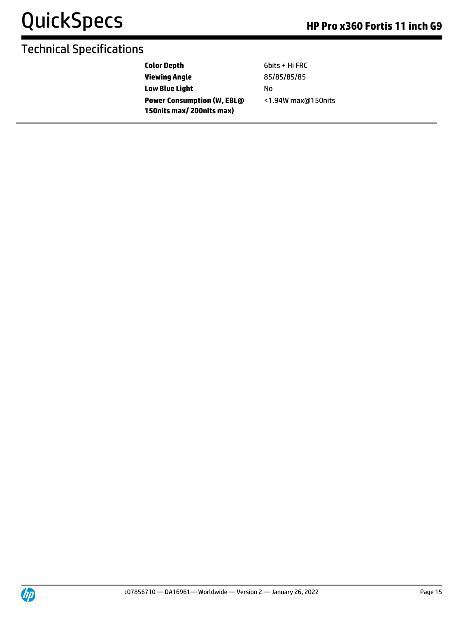| <b>Color Depth</b>                | 6bits + Hi FRC     |
|-----------------------------------|--------------------|
| <b>Viewing Angle</b>              | 85/85/85/85        |
| <b>Low Blue Light</b>             | N٥                 |
| <b>Power Consumption (W, EBL@</b> | <1.94W max@150nits |
| 150nits max/200nits max)          |                    |

UP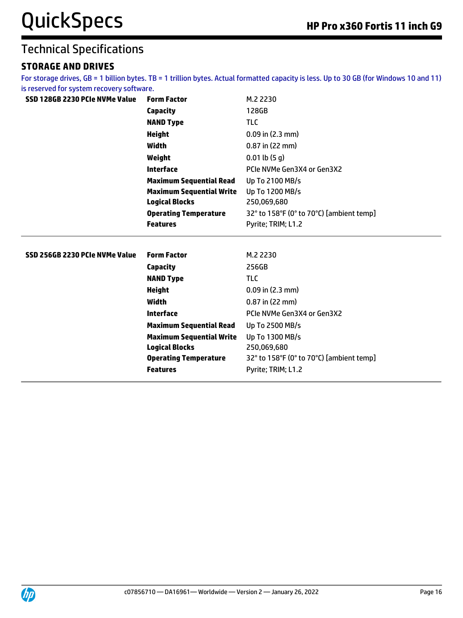#### **STORAGE AND DRIVES**

For storage drives, GB = 1 billion bytes. TB = 1 trillion bytes. Actual formatted capacity is less. Up to 30 GB (for Windows 10 and 11) is reserved for system recovery software.

| SSD 128GB 2230 PCIe NVMe Value | <b>Form Factor</b>              | M.2 2230                                 |
|--------------------------------|---------------------------------|------------------------------------------|
|                                | <b>Capacity</b>                 | 128GB                                    |
|                                | <b>NAND Type</b>                | <b>TLC</b>                               |
|                                | <b>Height</b>                   | $0.09$ in $(2.3$ mm)                     |
|                                | Width                           | $0.87$ in (22 mm)                        |
|                                | Weight                          | $0.01$ lb $(5q)$                         |
|                                | <b>Interface</b>                | PCIe NVMe Gen3X4 or Gen3X2               |
|                                | <b>Maximum Sequential Read</b>  | Up To 2100 MB/s                          |
|                                | <b>Maximum Sequential Write</b> | Up To 1200 MB/s                          |
|                                | <b>Logical Blocks</b>           | 250,069,680                              |
|                                | <b>Operating Temperature</b>    | 32° to 158°F (0° to 70°C) [ambient temp] |
|                                | <b>Features</b>                 | Pyrite; TRIM; L1.2                       |
|                                |                                 |                                          |
|                                |                                 |                                          |
| SSD 256GB 2230 PCIe NVMe Value | <b>Form Factor</b>              | M.2 2230                                 |
|                                | Capacity                        | 256GB                                    |
|                                | <b>NAND Type</b>                | <b>TLC</b>                               |
|                                | <b>Height</b>                   | $0.09$ in $(2.3$ mm)                     |
|                                | <b>Width</b>                    | $0.87$ in (22 mm)                        |
|                                | <b>Interface</b>                | PCIe NVMe Gen3X4 or Gen3X2               |
|                                | <b>Maximum Sequential Read</b>  | Up To 2500 MB/s                          |
|                                | <b>Maximum Sequential Write</b> | Up To 1300 MB/s                          |
|                                | <b>Logical Blocks</b>           | 250,069,680                              |
|                                | <b>Operating Temperature</b>    | 32° to 158°F (0° to 70°C) [ambient temp] |
|                                | <b>Features</b>                 | Pyrite; TRIM; L1.2                       |

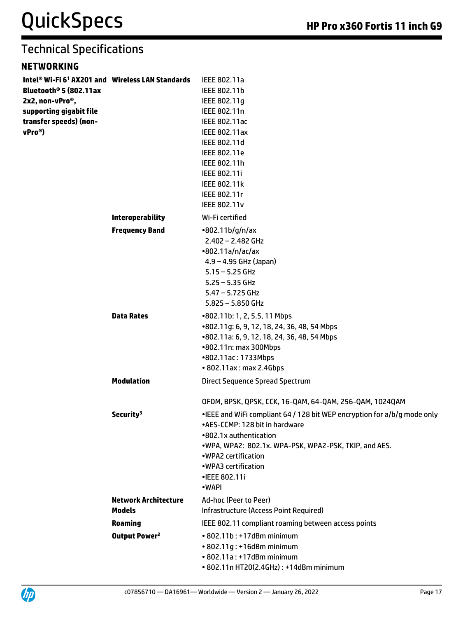#### **NETWORKING**

| Intel® Wi-Fi 6 <sup>1</sup> AX201 and Wireless LAN Standards<br>Bluetooth <sup>®</sup> 5 (802.11ax<br>2x2, non-vPro <sup>®</sup> ,<br>supporting gigabit file<br>transfer speeds) (non-<br>vPro <sup>®</sup> ) |                                             | IEEE 802.11a<br>IEEE 802.11b<br>IEEE 802.11g<br>IEEE 802.11n<br><b>IEEE 802.11ac</b><br><b>IEEE 802.11ax</b><br>IEEE 802.11d<br>IEEE 802.11e<br>IEEE 802.11h<br>IEEE 802.11i<br>IEEE 802.11k<br>IEEE 802.11r<br><b>IEEE 802.11v</b>                                                                                              |
|----------------------------------------------------------------------------------------------------------------------------------------------------------------------------------------------------------------|---------------------------------------------|----------------------------------------------------------------------------------------------------------------------------------------------------------------------------------------------------------------------------------------------------------------------------------------------------------------------------------|
|                                                                                                                                                                                                                | <b>Interoperability</b>                     | Wi-Fi certified                                                                                                                                                                                                                                                                                                                  |
|                                                                                                                                                                                                                | <b>Frequency Band</b>                       | $-802.11b/g/n/ax$<br>$2.402 - 2.482$ GHz<br>•802.11a/n/ac/ax<br>$4.9 - 4.95$ GHz (Japan)<br>$5.15 - 5.25$ GHz<br>$5.25 - 5.35$ GHz<br>$5.47 - 5.725$ GHz<br>$5.825 - 5.850$ GHz                                                                                                                                                  |
|                                                                                                                                                                                                                | <b>Data Rates</b>                           | •802.11b: 1, 2, 5.5, 11 Mbps<br>•802.11g: 6, 9, 12, 18, 24, 36, 48, 54 Mbps<br>•802.11a: 6, 9, 12, 18, 24, 36, 48, 54 Mbps<br>•802.11n: max 300Mbps<br>•802.11ac: 1733Mbps<br>• 802.11ax: max 2.4Gbps                                                                                                                            |
|                                                                                                                                                                                                                | <b>Modulation</b>                           | <b>Direct Sequence Spread Spectrum</b>                                                                                                                                                                                                                                                                                           |
|                                                                                                                                                                                                                | Security <sup>3</sup>                       | OFDM, BPSK, QPSK, CCK, 16-QAM, 64-QAM, 256-QAM, 1024QAM<br>•IEEE and WiFi compliant 64 / 128 bit WEP encryption for a/b/g mode only<br>•AES-CCMP: 128 bit in hardware<br>•802.1x authentication<br>.WPA, WPA2: 802.1x. WPA-PSK, WPA2-PSK, TKIP, and AES.<br>•WPA2 certification<br>•WPA3 certification<br>•IEEE 802.11i<br>•WAPI |
|                                                                                                                                                                                                                | <b>Network Architecture</b>                 | Ad-hoc (Peer to Peer)                                                                                                                                                                                                                                                                                                            |
|                                                                                                                                                                                                                | <b>Models</b>                               | Infrastructure (Access Point Required)                                                                                                                                                                                                                                                                                           |
|                                                                                                                                                                                                                | <b>Roaming</b><br>Output Power <sup>2</sup> | IEEE 802.11 compliant roaming between access points<br>• 802.11b: +17dBm minimum<br>• 802.11g: +16dBm minimum<br>• 802.11a: +17dBm minimum<br>• 802.11n HT20(2.4GHz): +14dBm minimum                                                                                                                                             |

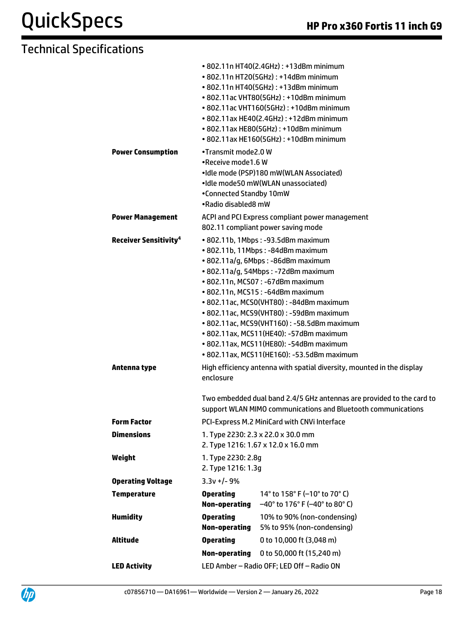|                                                         |                                                                                                                                                                                                                                                                                                                                                                                                                                                                                                                                                                                | • 802.11n HT40(2.4GHz): +13dBm minimum<br>• 802.11n HT20(5GHz): +14dBm minimum<br>• 802.11n HT40(5GHz): +13dBm minimum<br>• 802.11ac VHT80(5GHz): +10dBm minimum<br>• 802.11ac VHT160(5GHz): +10dBm minimum<br>• 802.11ax HE40(2.4GHz): +12dBm minimum<br>• 802.11ax HE80(5GHz): +10dBm minimum<br>• 802.11ax HE160(5GHz): +10dBm minimum |
|---------------------------------------------------------|--------------------------------------------------------------------------------------------------------------------------------------------------------------------------------------------------------------------------------------------------------------------------------------------------------------------------------------------------------------------------------------------------------------------------------------------------------------------------------------------------------------------------------------------------------------------------------|-------------------------------------------------------------------------------------------------------------------------------------------------------------------------------------------------------------------------------------------------------------------------------------------------------------------------------------------|
| <b>Power Consumption</b>                                | •Transmit mode2.0 W<br>.Receive mode1.6 W<br>•Idle mode (PSP)180 mW(WLAN Associated)<br>•Idle mode50 mW(WLAN unassociated)<br>•Connected Standby 10mW<br>•Radio disabled8 mW                                                                                                                                                                                                                                                                                                                                                                                                   |                                                                                                                                                                                                                                                                                                                                           |
| <b>Power Management</b>                                 | ACPI and PCI Express compliant power management<br>802.11 compliant power saving mode                                                                                                                                                                                                                                                                                                                                                                                                                                                                                          |                                                                                                                                                                                                                                                                                                                                           |
| <b>Receiver Sensitivity<sup>4</sup></b><br>Antenna type | • 802.11b, 1Mbps: -93.5dBm maximum<br>• 802.11b, 11Mbps: -84dBm maximum<br>· 802.11a/g, 6Mbps: -86dBm maximum<br>• 802.11a/g, 54Mbps: -72dBm maximum<br>• 802.11n, MCS07: -67dBm maximum<br>• 802.11n, MCS15: -64dBm maximum<br>• 802.11ac, MCS0(VHT80): -84dBm maximum<br>• 802.11ac, MCS9(VHT80): -59dBm maximum<br>• 802.11ac, MCS9(VHT160): -58.5dBm maximum<br>• 802.11ax, MCS11(HE40): -57dBm maximum<br>• 802.11ax, MCS11(HE80): -54dBm maximum<br>• 802.11ax, MCS11(HE160): -53.5dBm maximum<br>High efficiency antenna with spatial diversity, mounted in the display |                                                                                                                                                                                                                                                                                                                                           |
|                                                         | enclosure                                                                                                                                                                                                                                                                                                                                                                                                                                                                                                                                                                      | Two embedded dual band 2.4/5 GHz antennas are provided to the card to<br>support WLAN MIMO communications and Bluetooth communications                                                                                                                                                                                                    |
| <b>Form Factor</b>                                      | PCI-Express M.2 MiniCard with CNVi Interface                                                                                                                                                                                                                                                                                                                                                                                                                                                                                                                                   |                                                                                                                                                                                                                                                                                                                                           |
| <b>Dimensions</b>                                       | 1. Type 2230: 2.3 x 22.0 x 30.0 mm<br>2. Type 1216: 1.67 x 12.0 x 16.0 mm                                                                                                                                                                                                                                                                                                                                                                                                                                                                                                      |                                                                                                                                                                                                                                                                                                                                           |
| Weight                                                  | 1. Type 2230: 2.8q<br>2. Type 1216: 1.3g                                                                                                                                                                                                                                                                                                                                                                                                                                                                                                                                       |                                                                                                                                                                                                                                                                                                                                           |
| <b>Operating Voltage</b>                                | $3.3v +/- 9%$                                                                                                                                                                                                                                                                                                                                                                                                                                                                                                                                                                  |                                                                                                                                                                                                                                                                                                                                           |
| <b>Temperature</b>                                      | <b>Operating</b><br>Non-operating                                                                                                                                                                                                                                                                                                                                                                                                                                                                                                                                              | 14 $\degree$ to 158 $\degree$ F (-10 $\degree$ to 70 $\degree$ C)<br>$-40^{\circ}$ to 176° F (-40° to 80° C)                                                                                                                                                                                                                              |
| <b>Humidity</b>                                         | <b>Operating</b><br><b>Non-operating</b>                                                                                                                                                                                                                                                                                                                                                                                                                                                                                                                                       | 10% to 90% (non-condensing)<br>5% to 95% (non-condensing)                                                                                                                                                                                                                                                                                 |
| <b>Altitude</b>                                         | <b>Operating</b>                                                                                                                                                                                                                                                                                                                                                                                                                                                                                                                                                               | 0 to 10,000 ft (3,048 m)                                                                                                                                                                                                                                                                                                                  |
|                                                         | <b>Non-operating</b>                                                                                                                                                                                                                                                                                                                                                                                                                                                                                                                                                           | 0 to 50,000 ft (15,240 m)                                                                                                                                                                                                                                                                                                                 |
| <b>LED Activity</b>                                     | LED Amber - Radio OFF; LED Off - Radio ON                                                                                                                                                                                                                                                                                                                                                                                                                                                                                                                                      |                                                                                                                                                                                                                                                                                                                                           |
|                                                         |                                                                                                                                                                                                                                                                                                                                                                                                                                                                                                                                                                                |                                                                                                                                                                                                                                                                                                                                           |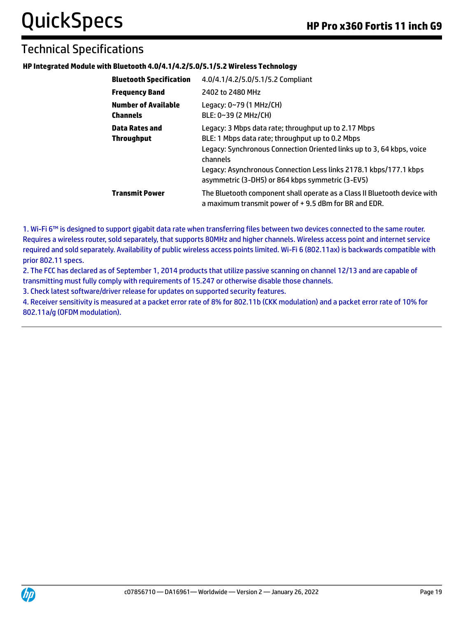#### **HP Integrated Module with Bluetooth 4.0/4.1/4.2/5.0/5.1/5.2 Wireless Technology**

| <b>Bluetooth Specification</b>                | 4.0/4.1/4.2/5.0/5.1/5.2 Compliant                                                                                                                                                                                                                                                                                      |
|-----------------------------------------------|------------------------------------------------------------------------------------------------------------------------------------------------------------------------------------------------------------------------------------------------------------------------------------------------------------------------|
| <b>Frequency Band</b>                         | 2402 to 2480 MHz                                                                                                                                                                                                                                                                                                       |
| <b>Number of Available</b><br><b>Channels</b> | Legacy: 0~79 (1 MHz/CH)<br>BLE: 0~39 (2 MHz/CH)                                                                                                                                                                                                                                                                        |
| Data Rates and<br><b>Throughput</b>           | Legacy: 3 Mbps data rate; throughput up to 2.17 Mbps<br>BLE: 1 Mbps data rate; throughput up to 0.2 Mbps<br>Legacy: Synchronous Connection Oriented links up to 3, 64 kbps, voice<br>channels<br>Legacy: Asynchronous Connection Less links 2178.1 kbps/177.1 kbps<br>asymmetric (3-DH5) or 864 kbps symmetric (3-EV5) |
| <b>Transmit Power</b>                         | The Bluetooth component shall operate as a Class II Bluetooth device with<br>a maximum transmit power of +9.5 dBm for BR and EDR.                                                                                                                                                                                      |

1. Wi-Fi 6™ is designed to support gigabit data rate when transferring files between two devices connected to the same router. Requires a wireless router, sold separately, that supports 80MHz and higher channels. Wireless access point and internet service required and sold separately. Availability of public wireless access points limited. Wi-Fi 6 (802.11ax) is backwards compatible with prior 802.11 specs.

2. The FCC has declared as of September 1, 2014 products that utilize passive scanning on channel 12/13 and are capable of transmitting must fully comply with requirements of 15.247 or otherwise disable those channels.

3. Check latest software/driver release for updates on supported security features.

4. Receiver sensitivity is measured at a packet error rate of 8% for 802.11b (CKK modulation) and a packet error rate of 10% for 802.11a/g (OFDM modulation).

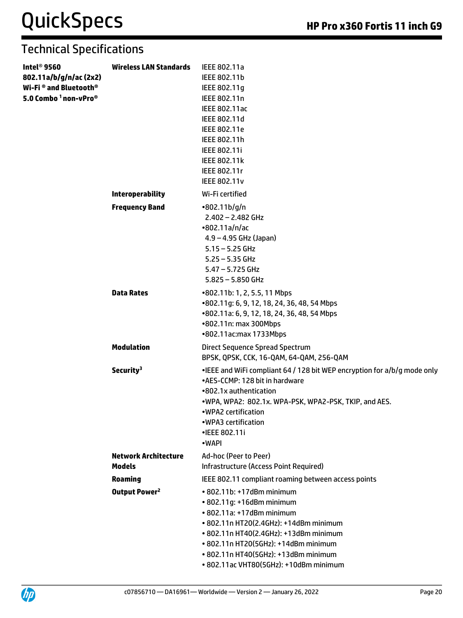| Intel <sup>®</sup> 9560<br>802.11a/b/g/n/ac (2x2)<br>Wi-Fi® and Bluetooth®<br>5.0 Combo <sup>1</sup> non-vPro <sup>®</sup> | <b>Wireless LAN Standards</b>                | IEEE 802.11a<br>IEEE 802.11b<br>IEEE 802.11q<br>IEEE 802.11n<br><b>IEEE 802.11ac</b><br>IEEE 802.11d<br>IEEE 802.11e<br>IEEE 802.11h<br>IEEE 802.11i<br>IEEE 802.11k<br>IEEE 802.11r<br><b>IEEE 802.11v</b>                                                                                       |
|----------------------------------------------------------------------------------------------------------------------------|----------------------------------------------|---------------------------------------------------------------------------------------------------------------------------------------------------------------------------------------------------------------------------------------------------------------------------------------------------|
|                                                                                                                            | <b>Interoperability</b>                      | Wi-Fi certified                                                                                                                                                                                                                                                                                   |
|                                                                                                                            | <b>Frequency Band</b>                        | •802.11b/g/n<br>$2.402 - 2.482$ GHz<br>•802.11a/n/ac<br>$4.9 - 4.95$ GHz (Japan)<br>$5.15 - 5.25$ GHz<br>$5.25 - 5.35$ GHz<br>$5.47 - 5.725$ GHz<br>$5.825 - 5.850$ GHz                                                                                                                           |
|                                                                                                                            | <b>Data Rates</b>                            | •802.11b: 1, 2, 5.5, 11 Mbps<br>•802.11g: 6, 9, 12, 18, 24, 36, 48, 54 Mbps<br>•802.11a: 6, 9, 12, 18, 24, 36, 48, 54 Mbps<br>•802.11n: max 300Mbps<br>•802.11ac:max 1733Mbps                                                                                                                     |
|                                                                                                                            | <b>Modulation</b>                            | <b>Direct Sequence Spread Spectrum</b><br>BPSK, QPSK, CCK, 16-QAM, 64-QAM, 256-QAM                                                                                                                                                                                                                |
|                                                                                                                            | Security <sup>3</sup>                        | •IEEE and WiFi compliant 64 / 128 bit WEP encryption for a/b/g mode only<br>•AES-CCMP: 128 bit in hardware<br>•802.1x authentication<br>.WPA, WPA2: 802.1x. WPA-PSK, WPA2-PSK, TKIP, and AES.<br>.WPA2 certification<br>•WPA3 certification<br>•IEEE 802.11i<br>•WAPI                             |
|                                                                                                                            | <b>Network Architecture</b><br><b>Models</b> | Ad-hoc (Peer to Peer)<br>Infrastructure (Access Point Required)                                                                                                                                                                                                                                   |
|                                                                                                                            | <b>Roaming</b>                               | IEEE 802.11 compliant roaming between access points                                                                                                                                                                                                                                               |
|                                                                                                                            | Output Power <sup>2</sup>                    | • 802.11b: +17dBm minimum<br>• 802.11g: +16dBm minimum<br>• 802.11a: +17dBm minimum<br>• 802.11n HT20(2.4GHz): +14dBm minimum<br>• 802.11n HT40(2.4GHz): +13dBm minimum<br>• 802.11n HT20(5GHz): +14dBm minimum<br>• 802.11n HT40(5GHz): +13dBm minimum<br>· 802.11ac VHT80(5GHz): +10dBm minimum |

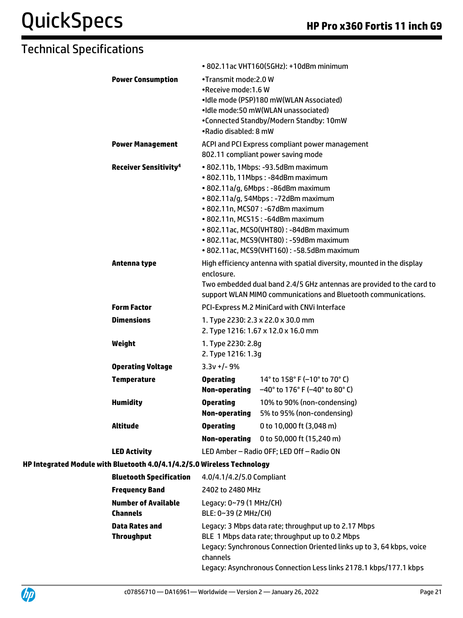|                                                                         |                                                 | • 802.11ac VHT160(5GHz): +10dBm minimum                                                                                                 |
|-------------------------------------------------------------------------|-------------------------------------------------|-----------------------------------------------------------------------------------------------------------------------------------------|
| <b>Power Consumption</b>                                                | •Transmit mode: 2.0 W                           |                                                                                                                                         |
|                                                                         | •Receive mode:1.6 W                             | •Idle mode (PSP)180 mW(WLAN Associated)                                                                                                 |
|                                                                         |                                                 | •Idle mode:50 mW(WLAN unassociated)                                                                                                     |
|                                                                         |                                                 | •Connected Standby/Modern Standby: 10mW                                                                                                 |
|                                                                         | •Radio disabled: 8 mW                           |                                                                                                                                         |
| <b>Power Management</b>                                                 |                                                 | ACPI and PCI Express compliant power management                                                                                         |
|                                                                         |                                                 | 802.11 compliant power saving mode                                                                                                      |
| <b>Receiver Sensitivity<sup>4</sup></b>                                 |                                                 | • 802.11b, 1Mbps: -93.5dBm maximum<br>· 802.11b, 11Mbps: -84dBm maximum                                                                 |
|                                                                         |                                                 | • 802.11a/g, 6Mbps: -86dBm maximum                                                                                                      |
|                                                                         |                                                 | • 802.11a/g, 54Mbps: -72dBm maximum                                                                                                     |
|                                                                         |                                                 | • 802.11n, MCS07: -67dBm maximum                                                                                                        |
|                                                                         |                                                 | • 802.11n, MCS15: -64dBm maximum                                                                                                        |
|                                                                         |                                                 | • 802.11ac, MCS0(VHT80): -84dBm maximum<br>• 802.11ac, MCS9(VHT80): -59dBm maximum                                                      |
|                                                                         |                                                 | • 802.11ac, MCS9(VHT160): -58.5dBm maximum                                                                                              |
| Antenna type                                                            |                                                 | High efficiency antenna with spatial diversity, mounted in the display                                                                  |
|                                                                         | enclosure.                                      |                                                                                                                                         |
|                                                                         |                                                 | Two embedded dual band 2.4/5 GHz antennas are provided to the card to<br>support WLAN MIMO communications and Bluetooth communications. |
| <b>Form Factor</b>                                                      |                                                 | PCI-Express M.2 MiniCard with CNVi Interface                                                                                            |
| <b>Dimensions</b>                                                       |                                                 | 1. Type 2230: 2.3 x 22.0 x 30.0 mm<br>2. Type 1216: 1.67 x 12.0 x 16.0 mm                                                               |
| Weight                                                                  | 1. Type 2230: 2.8g                              |                                                                                                                                         |
|                                                                         | 2. Type 1216: 1.3g                              |                                                                                                                                         |
| <b>Operating Voltage</b>                                                | $3.3v +/- 9%$                                   |                                                                                                                                         |
| <b>Temperature</b>                                                      | <b>Operating</b><br>Non-operating               | 14° to 158° F (-10° to 70° C)<br>$-40^{\circ}$ to 176° F (-40° to 80° C)                                                                |
| <b>Humidity</b>                                                         | <b>Operating</b>                                | 10% to 90% (non-condensing)                                                                                                             |
|                                                                         | Non-operating                                   | 5% to 95% (non-condensing)                                                                                                              |
| <b>Altitude</b>                                                         | <b>Operating</b>                                | 0 to 10,000 ft (3,048 m)                                                                                                                |
|                                                                         | Non-operating                                   | 0 to 50,000 ft (15,240 m)                                                                                                               |
| <b>LED Activity</b>                                                     |                                                 | LED Amber - Radio OFF; LED Off - Radio ON                                                                                               |
| HP Integrated Module with Bluetooth 4.0/4.1/4.2/5.0 Wireless Technology |                                                 |                                                                                                                                         |
| <b>Bluetooth Specification</b>                                          | 4.0/4.1/4.2/5.0 Compliant                       |                                                                                                                                         |
| <b>Frequency Band</b>                                                   | 2402 to 2480 MHz                                |                                                                                                                                         |
| <b>Number of Available</b><br><b>Channels</b>                           | Legacy: 0~79 (1 MHz/CH)<br>BLE: 0~39 (2 MHz/CH) |                                                                                                                                         |
| <b>Data Rates and</b>                                                   |                                                 | Legacy: 3 Mbps data rate; throughput up to 2.17 Mbps                                                                                    |
| <b>Throughput</b>                                                       |                                                 | BLE 1 Mbps data rate; throughput up to 0.2 Mbps                                                                                         |
|                                                                         | channels                                        | Legacy: Synchronous Connection Oriented links up to 3, 64 kbps, voice                                                                   |
|                                                                         |                                                 | Legacy: Asynchronous Connection Less links 2178.1 kbps/177.1 kbps                                                                       |

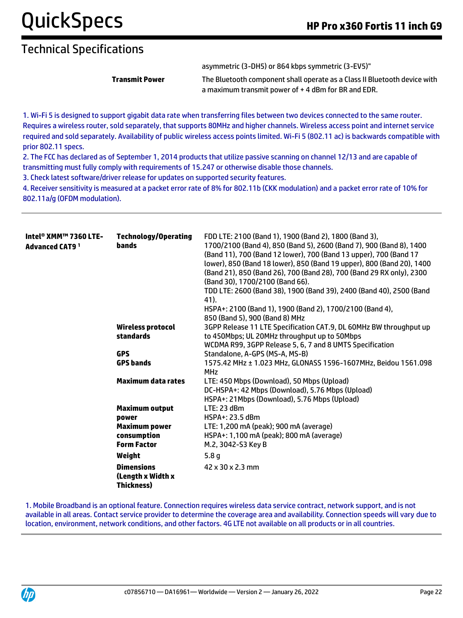asymmetric (3-DH5) or 864 kbps symmetric (3-EV5)"

**Transmit Power** The Bluetooth component shall operate as a Class II Bluetooth device with a maximum transmit power of + 4 dBm for BR and EDR.

1. Wi-Fi 5 is designed to support gigabit data rate when transferring files between two devices connected to the same router. Requires a wireless router, sold separately, that supports 80MHz and higher channels. Wireless access point and internet service required and sold separately. Availability of public wireless access points limited. Wi-Fi 5 (802.11 ac) is backwards compatible with prior 802.11 specs.

2. The FCC has declared as of September 1, 2014 products that utilize passive scanning on channel 12/13 and are capable of transmitting must fully comply with requirements of 15.247 or otherwise disable those channels.

3. Check latest software/driver release for updates on supported security features.

4. Receiver sensitivity is measured at a packet error rate of 8% for 802.11b (CKK modulation) and a packet error rate of 10% for 802.11a/g (OFDM modulation).

| Intel® XMM™ 7360 LTE-<br>Advanced CAT9 <sup>1</sup> | <b>Technology/Operating</b><br>bands                        | FDD LTE: 2100 (Band 1), 1900 (Band 2), 1800 (Band 3),<br>1700/2100 (Band 4), 850 (Band 5), 2600 (Band 7), 900 (Band 8), 1400<br>(Band 11), 700 (Band 12 lower), 700 (Band 13 upper), 700 (Band 17<br>lower), 850 (Band 18 lower), 850 (Band 19 upper), 800 (Band 20), 1400<br>(Band 21), 850 (Band 26), 700 (Band 28), 700 (Band 29 RX only), 2300<br>(Band 30), 1700/2100 (Band 66).<br>TDD LTE: 2600 (Band 38), 1900 (Band 39), 2400 (Band 40), 2500 (Band<br>41).<br>HSPA+: 2100 (Band 1), 1900 (Band 2), 1700/2100 (Band 4),<br>850 (Band 5), 900 (Band 8) MHz |
|-----------------------------------------------------|-------------------------------------------------------------|--------------------------------------------------------------------------------------------------------------------------------------------------------------------------------------------------------------------------------------------------------------------------------------------------------------------------------------------------------------------------------------------------------------------------------------------------------------------------------------------------------------------------------------------------------------------|
|                                                     | <b>Wireless protocol</b><br>standards                       | 3GPP Release 11 LTE Specification CAT.9, DL 60MHz BW throughput up<br>to 450Mbps; UL 20MHz throughput up to 50Mbps<br>WCDMA R99, 3GPP Release 5, 6, 7 and 8 UMTS Specification                                                                                                                                                                                                                                                                                                                                                                                     |
|                                                     | <b>GPS</b>                                                  | Standalone, A-GPS (MS-A, MS-B)                                                                                                                                                                                                                                                                                                                                                                                                                                                                                                                                     |
|                                                     | <b>GPS bands</b>                                            | 1575.42 MHz ± 1.023 MHz, GLONASS 1596-1607MHz, Beidou 1561.098<br><b>MHz</b>                                                                                                                                                                                                                                                                                                                                                                                                                                                                                       |
|                                                     | <b>Maximum data rates</b>                                   | LTE: 450 Mbps (Download), 50 Mbps (Upload)<br>DC-HSPA+: 42 Mbps (Download), 5.76 Mbps (Upload)<br>HSPA+: 21 Mbps (Download), 5.76 Mbps (Upload)                                                                                                                                                                                                                                                                                                                                                                                                                    |
|                                                     | <b>Maximum output</b>                                       | LTE: 23 dBm                                                                                                                                                                                                                                                                                                                                                                                                                                                                                                                                                        |
|                                                     | power                                                       | HSPA+: 23.5 dBm                                                                                                                                                                                                                                                                                                                                                                                                                                                                                                                                                    |
|                                                     | Maximum power                                               | LTE: 1,200 mA (peak); 900 mA (average)                                                                                                                                                                                                                                                                                                                                                                                                                                                                                                                             |
|                                                     | consumption                                                 | HSPA+: 1,100 mA (peak); 800 mA (average)                                                                                                                                                                                                                                                                                                                                                                                                                                                                                                                           |
|                                                     | <b>Form Factor</b>                                          | M.2, 3042-S3 Key B                                                                                                                                                                                                                                                                                                                                                                                                                                                                                                                                                 |
|                                                     | Weight                                                      | 5.8 <sub>q</sub>                                                                                                                                                                                                                                                                                                                                                                                                                                                                                                                                                   |
|                                                     | <b>Dimensions</b><br>(Length x Width x<br><b>Thickness)</b> | 42 x 30 x 2.3 mm                                                                                                                                                                                                                                                                                                                                                                                                                                                                                                                                                   |

1. Mobile Broadband is an optional feature. Connection requires wireless data service contract, network support, and is not available in all areas. Contact service provider to determine the coverage area and availability. Connection speeds will vary due to location, environment, network conditions, and other factors. 4G LTE not available on all products or in all countries.

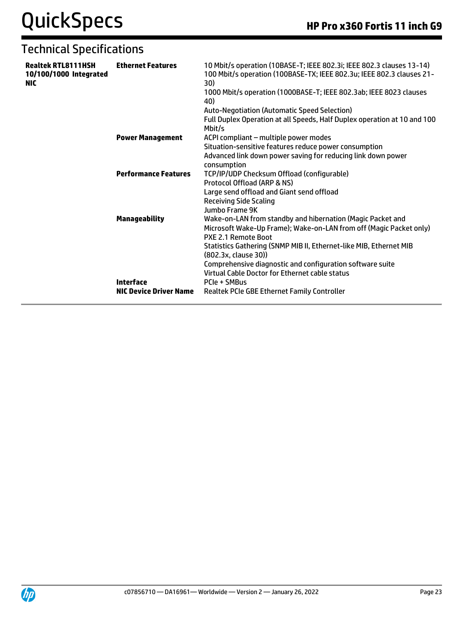| <b>Realtek RTL8111HSH</b><br>10/100/1000 Integrated<br><b>NIC</b> | <b>Ethernet Features</b>                          | 10 Mbit/s operation (10BASE-T; IEEE 802.3i; IEEE 802.3 clauses 13-14)<br>100 Mbit/s operation (100BASE-TX; IEEE 802.3u; IEEE 802.3 clauses 21-<br>30)<br>1000 Mbit/s operation (1000BASE-T; IEEE 802.3ab; IEEE 8023 clauses<br>40)<br><b>Auto-Negotiation (Automatic Speed Selection)</b><br>Full Duplex Operation at all Speeds, Half Duplex operation at 10 and 100<br>Mbit/s |
|-------------------------------------------------------------------|---------------------------------------------------|---------------------------------------------------------------------------------------------------------------------------------------------------------------------------------------------------------------------------------------------------------------------------------------------------------------------------------------------------------------------------------|
|                                                                   | <b>Power Management</b>                           | ACPI compliant - multiple power modes<br>Situation-sensitive features reduce power consumption<br>Advanced link down power saving for reducing link down power<br>consumption                                                                                                                                                                                                   |
|                                                                   | <b>Performance Features</b>                       | TCP/IP/UDP Checksum Offload (configurable)<br>Protocol Offload (ARP & NS)<br>Large send offload and Giant send offload<br><b>Receiving Side Scaling</b><br>Jumbo Frame 9K                                                                                                                                                                                                       |
|                                                                   | <b>Manageability</b>                              | Wake-on-LAN from standby and hibernation (Magic Packet and<br>Microsoft Wake-Up Frame); Wake-on-LAN from off (Magic Packet only)<br>PXE 2.1 Remote Boot<br>Statistics Gathering (SNMP MIB II, Ethernet-like MIB, Ethernet MIB<br>(802.3x, clause 30))<br>Comprehensive diagnostic and configuration software suite<br>Virtual Cable Doctor for Ethernet cable status            |
|                                                                   | <b>Interface</b><br><b>NIC Device Driver Name</b> | PCIe + SMBus<br>Realtek PCIe GBE Ethernet Family Controller                                                                                                                                                                                                                                                                                                                     |

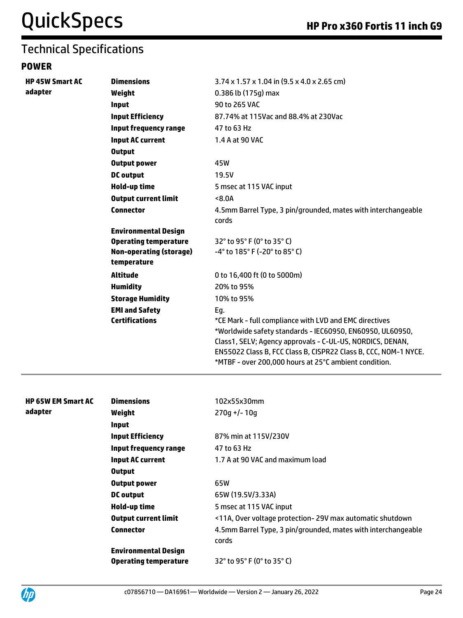#### **POWER**

| <b>HP 45W Smart AC</b> | <b>Dimensions</b>              | $3.74 \times 1.57 \times 1.04$ in (9.5 x 4.0 x 2.65 cm)                                                                                                                                                                                                                                                      |
|------------------------|--------------------------------|--------------------------------------------------------------------------------------------------------------------------------------------------------------------------------------------------------------------------------------------------------------------------------------------------------------|
| adapter                | Weight                         | $0.386$ lb $(175q)$ max                                                                                                                                                                                                                                                                                      |
|                        | <b>Input</b>                   | 90 to 265 VAC                                                                                                                                                                                                                                                                                                |
|                        | <b>Input Efficiency</b>        | 87.74% at 115Vac and 88.4% at 230Vac                                                                                                                                                                                                                                                                         |
|                        | Input frequency range          | 47 to 63 Hz                                                                                                                                                                                                                                                                                                  |
|                        | <b>Input AC current</b>        | 1.4 A at 90 VAC                                                                                                                                                                                                                                                                                              |
|                        | <b>Output</b>                  |                                                                                                                                                                                                                                                                                                              |
|                        | <b>Output power</b>            | 45W                                                                                                                                                                                                                                                                                                          |
|                        | <b>DC</b> output               | 19.5V                                                                                                                                                                                                                                                                                                        |
|                        | Hold-up time                   | 5 msec at 115 VAC input                                                                                                                                                                                                                                                                                      |
|                        | <b>Output current limit</b>    | <8.0A                                                                                                                                                                                                                                                                                                        |
|                        | <b>Connector</b>               | 4.5mm Barrel Type, 3 pin/grounded, mates with interchangeable<br>cords                                                                                                                                                                                                                                       |
|                        | <b>Environmental Design</b>    |                                                                                                                                                                                                                                                                                                              |
|                        | <b>Operating temperature</b>   | $32^{\circ}$ to 95 $^{\circ}$ F (0 $^{\circ}$ to 35 $^{\circ}$ C)                                                                                                                                                                                                                                            |
|                        | <b>Non-operating (storage)</b> | $-4^{\circ}$ to 185 $^{\circ}$ F (-20 $^{\circ}$ to 85 $^{\circ}$ C)                                                                                                                                                                                                                                         |
|                        | temperature                    |                                                                                                                                                                                                                                                                                                              |
|                        | <b>Altitude</b>                | 0 to 16,400 ft (0 to 5000m)                                                                                                                                                                                                                                                                                  |
|                        | <b>Humidity</b>                | 20% to 95%                                                                                                                                                                                                                                                                                                   |
|                        | <b>Storage Humidity</b>        | 10% to 95%                                                                                                                                                                                                                                                                                                   |
|                        | <b>EMI and Safety</b>          | Eg.                                                                                                                                                                                                                                                                                                          |
|                        | <b>Certifications</b>          | *CE Mark - full compliance with LVD and EMC directives<br>*Worldwide safety standards - IEC60950, EN60950, UL60950,<br>Class1, SELV; Agency approvals - C-UL-US, NORDICS, DENAN,<br>EN55022 Class B, FCC Class B, CISPR22 Class B, CCC, NOM-1 NYCE.<br>*MTBF - over 200,000 hours at 25°C ambient condition. |

| <b>HP 65W EM Smart AC</b> | <b>Dimensions</b>            | 102x55x30mm                                                            |
|---------------------------|------------------------------|------------------------------------------------------------------------|
| adapter                   | Weight                       | $270q + (-10q)$                                                        |
|                           | <b>Input</b>                 |                                                                        |
|                           | <b>Input Efficiency</b>      | 87% min at 115V/230V                                                   |
|                           | Input frequency range        | 47 to 63 Hz                                                            |
|                           | <b>Input AC current</b>      | 1.7 A at 90 VAC and maximum load                                       |
|                           | <b>Output</b>                |                                                                        |
|                           | Output power                 | 65W                                                                    |
|                           | DC output                    | 65W (19.5V/3.33A)                                                      |
|                           | Hold-up time                 | 5 msec at 115 VAC input                                                |
|                           | <b>Output current limit</b>  | <11A, Over voltage protection-29V max automatic shutdown               |
|                           | <b>Connector</b>             | 4.5mm Barrel Type, 3 pin/grounded, mates with interchangeable<br>cords |
|                           | <b>Environmental Design</b>  |                                                                        |
|                           | <b>Operating temperature</b> | $32^{\circ}$ to 95 $^{\circ}$ F (0 $^{\circ}$ to 35 $^{\circ}$ C)      |

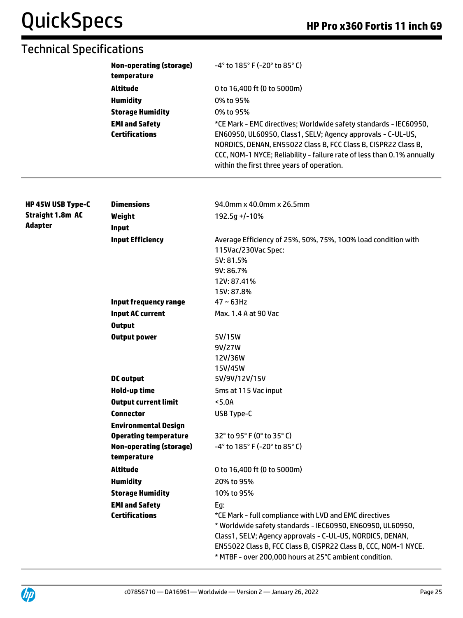|                         | <b>Non-operating (storage)</b><br>temperature    | -4° to 185° F (-20° to 85° C)                                                                                                                                                                                                                         |  |  |
|-------------------------|--------------------------------------------------|-------------------------------------------------------------------------------------------------------------------------------------------------------------------------------------------------------------------------------------------------------|--|--|
|                         | <b>Altitude</b>                                  | 0 to 16,400 ft (0 to 5000m)                                                                                                                                                                                                                           |  |  |
|                         | <b>Humidity</b>                                  | 0% to 95%                                                                                                                                                                                                                                             |  |  |
|                         | <b>Storage Humidity</b><br><b>EMI and Safety</b> | 0% to 95%                                                                                                                                                                                                                                             |  |  |
|                         |                                                  | *CE Mark - EMC directives; Worldwide safety standards - IEC60950,                                                                                                                                                                                     |  |  |
|                         | <b>Certifications</b>                            | EN60950, UL60950, Class1, SELV; Agency approvals - C-UL-US,<br>NORDICS, DENAN, EN55022 Class B, FCC Class B, CISPR22 Class B,<br>CCC, NOM-1 NYCE; Reliability - failure rate of less than 0.1% annually<br>within the first three years of operation. |  |  |
| HP 45W USB Type-C       | <b>Dimensions</b>                                | 94.0mm x 40.0mm x 26.5mm                                                                                                                                                                                                                              |  |  |
| <b>Straight 1.8m AC</b> | Weight                                           | 192.5g +/-10%                                                                                                                                                                                                                                         |  |  |
| <b>Adapter</b>          | <b>Input</b>                                     |                                                                                                                                                                                                                                                       |  |  |
|                         | <b>Input Efficiency</b>                          | Average Efficiency of 25%, 50%, 75%, 100% load condition with<br>115Vac/230Vac Spec:                                                                                                                                                                  |  |  |
|                         |                                                  | 5V: 81.5%                                                                                                                                                                                                                                             |  |  |
|                         |                                                  | 9V: 86.7%                                                                                                                                                                                                                                             |  |  |
|                         |                                                  | 12V: 87.41%                                                                                                                                                                                                                                           |  |  |
|                         |                                                  | 15V: 87.8%                                                                                                                                                                                                                                            |  |  |
|                         | <b>Input frequency range</b>                     | $47 \sim 63$ Hz                                                                                                                                                                                                                                       |  |  |
|                         | <b>Input AC current</b>                          | Max. 1.4 A at 90 Vac                                                                                                                                                                                                                                  |  |  |
|                         | <b>Output</b>                                    |                                                                                                                                                                                                                                                       |  |  |
|                         | <b>Output power</b>                              | 5V/15W                                                                                                                                                                                                                                                |  |  |
|                         |                                                  | 9V/27W                                                                                                                                                                                                                                                |  |  |
|                         |                                                  | 12V/36W                                                                                                                                                                                                                                               |  |  |
|                         |                                                  | 15V/45W                                                                                                                                                                                                                                               |  |  |

|                              | 12V/36W                                                              |
|------------------------------|----------------------------------------------------------------------|
|                              | 15V/45W                                                              |
| DC output                    | 5V/9V/12V/15V                                                        |
| Hold-up time                 | 5ms at 115 Vac input                                                 |
| <b>Output current limit</b>  | <5.0A                                                                |
| <b>Connector</b>             | USB Type-C                                                           |
| <b>Environmental Design</b>  |                                                                      |
| <b>Operating temperature</b> | $32^{\circ}$ to 95 $^{\circ}$ F (0 $^{\circ}$ to 35 $^{\circ}$ C)    |
| Non-operating (storage)      | $-4^{\circ}$ to 185 $^{\circ}$ F (-20 $^{\circ}$ to 85 $^{\circ}$ C) |
| temperature                  |                                                                      |
| Altitude                     | 0 to 16,400 ft (0 to 5000m)                                          |
| <b>Humidity</b>              | 20% to 95%                                                           |
| <b>Storage Humidity</b>      | 10% to 95%                                                           |
| <b>EMI and Safety</b>        | Eq:                                                                  |
| <b>Certifications</b>        | *CE Mark - full compliance with LVD and EMC directives               |
|                              | * Worldwide safety standards - IEC60950, EN60950, UL60950,           |
|                              | Class1, SELV; Agency approvals - C-UL-US, NORDICS, DENAN,            |
|                              | EN55022 Class B, FCC Class B, CISPR22 Class B, CCC, NOM-1 NYCE.      |
|                              | * MTBF - over 200,000 hours at 25°C ambient condition.               |

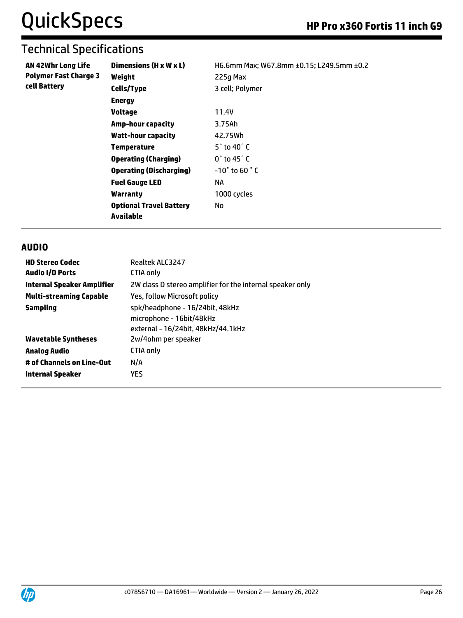| AN 42Whr Long Life           | Dimensions (H x W x L)                             | H6.6mm Max; W67.8mm ±0.15; L249.5mm ±0.2 |
|------------------------------|----------------------------------------------------|------------------------------------------|
| <b>Polymer Fast Charge 3</b> | Weight                                             | 225g Max                                 |
| cell Battery                 | <b>Cells/Type</b>                                  | 3 cell; Polymer                          |
|                              | <b>Energy</b>                                      |                                          |
|                              | <b>Voltage</b>                                     | 11.4V                                    |
|                              | <b>Amp-hour capacity</b>                           | 3.75Ah                                   |
|                              | <b>Watt-hour capacity</b>                          | 42.75Wh                                  |
|                              | <b>Temperature</b>                                 | $5^\circ$ to 40 $^\circ$ C               |
|                              | <b>Operating (Charging)</b>                        | $0^{\circ}$ to 45 $^{\circ}$ C           |
|                              | <b>Operating (Discharging)</b>                     | $-10^\circ$ to 60 $^\circ$ C             |
|                              | <b>Fuel Gauge LED</b>                              | ΝA                                       |
|                              | <b>Warranty</b>                                    | 1000 cycles                              |
|                              | <b>Optional Travel Battery</b><br><b>Available</b> | No.                                      |

#### **AUDIO**

| <b>HD Stereo Codec</b>            | Realtek ALC3247                                                                                   |
|-----------------------------------|---------------------------------------------------------------------------------------------------|
| <b>Audio I/O Ports</b>            | CTIA only                                                                                         |
| <b>Internal Speaker Amplifier</b> | 2W class D stereo amplifier for the internal speaker only                                         |
| <b>Multi-streaming Capable</b>    | Yes, follow Microsoft policy                                                                      |
| Sampling                          | spk/headphone - 16/24bit, 48kHz<br>microphone - 16bit/48kHz<br>external - 16/24bit, 48kHz/44.1kHz |
| <b>Wavetable Syntheses</b>        | 2w/4ohm per speaker                                                                               |
| Analog Audio                      | CTIA only                                                                                         |
| # of Channels on Line-Out         | N/A                                                                                               |
| Internal Speaker                  | <b>YES</b>                                                                                        |

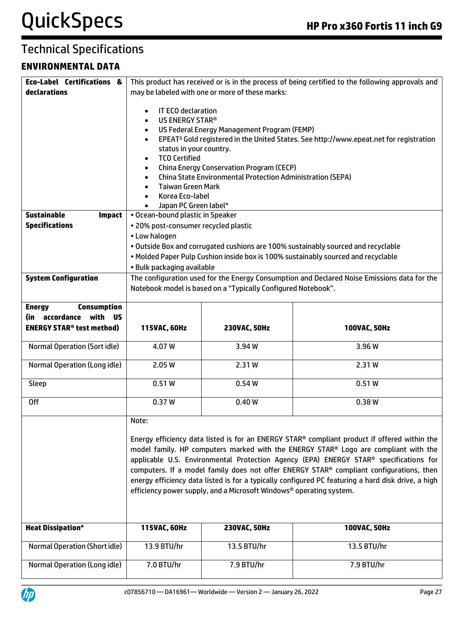#### **ENVIRONMENTAL DATA**

| <b>Eco-Label Certifications &amp;</b>       | This product has received or is in the process of being certified to the following approvals and |                                                                     |                                                                                                          |  |  |
|---------------------------------------------|--------------------------------------------------------------------------------------------------|---------------------------------------------------------------------|----------------------------------------------------------------------------------------------------------|--|--|
| declarations                                | may be labeled with one or more of these marks:                                                  |                                                                     |                                                                                                          |  |  |
|                                             |                                                                                                  |                                                                     |                                                                                                          |  |  |
|                                             | IT ECO declaration<br>$\bullet$                                                                  |                                                                     |                                                                                                          |  |  |
|                                             | US ENERGY STAR®<br>$\bullet$                                                                     |                                                                     |                                                                                                          |  |  |
|                                             | $\bullet$                                                                                        | US Federal Energy Management Program (FEMP)                         |                                                                                                          |  |  |
|                                             | $\bullet$                                                                                        |                                                                     | EPEAT <sup>a</sup> Gold registered in the United States. See http://www.epeat.net for registration       |  |  |
|                                             | status in your country.                                                                          |                                                                     |                                                                                                          |  |  |
|                                             | <b>TCO Certified</b><br>$\bullet$                                                                |                                                                     |                                                                                                          |  |  |
|                                             | $\bullet$                                                                                        | <b>China Energy Conservation Program (CECP)</b>                     |                                                                                                          |  |  |
|                                             | $\bullet$                                                                                        | <b>China State Environmental Protection Administration (SEPA)</b>   |                                                                                                          |  |  |
|                                             | <b>Taiwan Green Mark</b><br>$\bullet$                                                            |                                                                     |                                                                                                          |  |  |
|                                             | Korea Eco-label<br>$\bullet$                                                                     |                                                                     |                                                                                                          |  |  |
|                                             | Japan PC Green label*                                                                            |                                                                     |                                                                                                          |  |  |
| <b>Sustainable</b><br><b>Impact</b>         | • Ocean-bound plastic in Speaker                                                                 |                                                                     |                                                                                                          |  |  |
| <b>Specifications</b>                       | . 20% post-consumer recycled plastic                                                             |                                                                     |                                                                                                          |  |  |
|                                             | • Low halogen                                                                                    |                                                                     |                                                                                                          |  |  |
|                                             |                                                                                                  |                                                                     |                                                                                                          |  |  |
|                                             |                                                                                                  |                                                                     | . Outside Box and corrugated cushions are 100% sustainably sourced and recyclable                        |  |  |
|                                             |                                                                                                  |                                                                     | . Molded Paper Pulp Cushion inside box is 100% sustainably sourced and recyclable                        |  |  |
|                                             | • Bulk packaging available                                                                       |                                                                     |                                                                                                          |  |  |
| <b>System Configuration</b>                 |                                                                                                  |                                                                     | The configuration used for the Energy Consumption and Declared Noise Emissions data for the              |  |  |
|                                             |                                                                                                  | Notebook model is based on a "Typically Configured Notebook".       |                                                                                                          |  |  |
|                                             |                                                                                                  |                                                                     |                                                                                                          |  |  |
| <b>Energy</b><br><b>Consumption</b>         |                                                                                                  |                                                                     |                                                                                                          |  |  |
| (in accordance with<br>ีนร                  |                                                                                                  |                                                                     |                                                                                                          |  |  |
|                                             |                                                                                                  |                                                                     |                                                                                                          |  |  |
| <b>ENERGY STAR<sup>®</sup> test method)</b> |                                                                                                  |                                                                     |                                                                                                          |  |  |
|                                             | 115VAC, 60Hz                                                                                     | 230VAC, 50Hz                                                        | 100VAC, 50Hz                                                                                             |  |  |
| <b>Normal Operation (Sort idle)</b>         | 4.07W                                                                                            | 3.94W                                                               | 3.96W                                                                                                    |  |  |
|                                             |                                                                                                  |                                                                     |                                                                                                          |  |  |
| Normal Operation (Long idle)                | 2.05 W                                                                                           | 2.31W                                                               | 2.31W                                                                                                    |  |  |
|                                             |                                                                                                  |                                                                     |                                                                                                          |  |  |
| Sleep                                       | 0.51W                                                                                            | 0.54W                                                               | 0.51W                                                                                                    |  |  |
|                                             |                                                                                                  |                                                                     |                                                                                                          |  |  |
| <b>Off</b>                                  | 0.37W                                                                                            | 0.40W                                                               | 0.38W                                                                                                    |  |  |
|                                             |                                                                                                  |                                                                     |                                                                                                          |  |  |
|                                             | Note:                                                                                            |                                                                     |                                                                                                          |  |  |
|                                             |                                                                                                  |                                                                     |                                                                                                          |  |  |
|                                             |                                                                                                  |                                                                     | Energy efficiency data listed is for an ENERGY STAR <sup>®</sup> compliant product if offered within the |  |  |
|                                             |                                                                                                  |                                                                     | model family. HP computers marked with the ENERGY STAR® Logo are compliant with the                      |  |  |
|                                             |                                                                                                  |                                                                     | applicable U.S. Environmental Protection Agency (EPA) ENERGY STAR® specifications for                    |  |  |
|                                             |                                                                                                  |                                                                     | computers. If a model family does not offer ENERGY STAR® compliant configurations, then                  |  |  |
|                                             |                                                                                                  |                                                                     | energy efficiency data listed is for a typically configured PC featuring a hard disk drive, a high       |  |  |
|                                             |                                                                                                  | efficiency power supply, and a Microsoft Windows® operating system. |                                                                                                          |  |  |
|                                             |                                                                                                  |                                                                     |                                                                                                          |  |  |
|                                             |                                                                                                  |                                                                     |                                                                                                          |  |  |
|                                             |                                                                                                  |                                                                     |                                                                                                          |  |  |
| <b>Heat Dissipation*</b>                    | 115VAC, 60Hz                                                                                     | 230VAC, 50Hz                                                        | 100VAC, 50Hz                                                                                             |  |  |
|                                             |                                                                                                  |                                                                     |                                                                                                          |  |  |
| <b>Normal Operation (Short idle)</b>        | 13.9 BTU/hr                                                                                      | 13.5 BTU/hr                                                         | 13.5 BTU/hr                                                                                              |  |  |
| Normal Operation (Long idle)                | 7.0 BTU/hr                                                                                       | 7.9 BTU/hr                                                          | 7.9 BTU/hr                                                                                               |  |  |

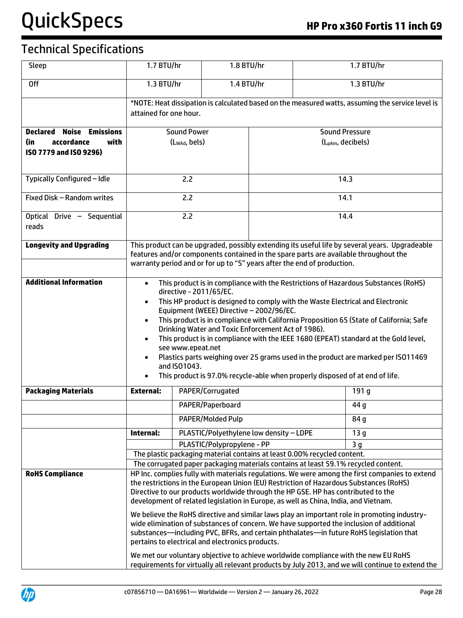| Sleep                                 | 1.7 BTU/hr                                                                                                                                                                                                                                                                                                                                                                                                                                                                                                                                                                                                                                                                                                                                                                   |                           | 1.8 BTU/hr      |      |                                                                         | 1.7 BTU/hr                                                                                                                                                                             |  |
|---------------------------------------|------------------------------------------------------------------------------------------------------------------------------------------------------------------------------------------------------------------------------------------------------------------------------------------------------------------------------------------------------------------------------------------------------------------------------------------------------------------------------------------------------------------------------------------------------------------------------------------------------------------------------------------------------------------------------------------------------------------------------------------------------------------------------|---------------------------|-----------------|------|-------------------------------------------------------------------------|----------------------------------------------------------------------------------------------------------------------------------------------------------------------------------------|--|
| 0 <sup>ff</sup>                       | 1.3 BTU/hr                                                                                                                                                                                                                                                                                                                                                                                                                                                                                                                                                                                                                                                                                                                                                                   |                           | 1.4 BTU/hr      |      |                                                                         | 1.3 BTU/hr                                                                                                                                                                             |  |
|                                       | *NOTE: Heat dissipation is calculated based on the measured watts, assuming the service level is                                                                                                                                                                                                                                                                                                                                                                                                                                                                                                                                                                                                                                                                             |                           |                 |      |                                                                         |                                                                                                                                                                                        |  |
|                                       | attained for one hour.                                                                                                                                                                                                                                                                                                                                                                                                                                                                                                                                                                                                                                                                                                                                                       |                           |                 |      |                                                                         |                                                                                                                                                                                        |  |
| Declared<br>Noise<br><b>Emissions</b> |                                                                                                                                                                                                                                                                                                                                                                                                                                                                                                                                                                                                                                                                                                                                                                              | <b>Sound Power</b>        |                 |      | <b>Sound Pressure</b>                                                   |                                                                                                                                                                                        |  |
| accordance<br>with<br>(in             |                                                                                                                                                                                                                                                                                                                                                                                                                                                                                                                                                                                                                                                                                                                                                                              | (L <sub>WAd</sub> , bels) |                 |      |                                                                         | (L <sub>pAm</sub> , decibels)                                                                                                                                                          |  |
| ISO 7779 and ISO 9296)                |                                                                                                                                                                                                                                                                                                                                                                                                                                                                                                                                                                                                                                                                                                                                                                              |                           |                 |      |                                                                         |                                                                                                                                                                                        |  |
| Typically Configured - Idle           |                                                                                                                                                                                                                                                                                                                                                                                                                                                                                                                                                                                                                                                                                                                                                                              | 2.2                       |                 |      | 14.3                                                                    |                                                                                                                                                                                        |  |
| Fixed Disk - Random writes            |                                                                                                                                                                                                                                                                                                                                                                                                                                                                                                                                                                                                                                                                                                                                                                              | 2.2                       |                 |      | 14.1                                                                    |                                                                                                                                                                                        |  |
| Optical Drive - Sequential<br>reads   |                                                                                                                                                                                                                                                                                                                                                                                                                                                                                                                                                                                                                                                                                                                                                                              | 2.2                       |                 |      | 14.4                                                                    |                                                                                                                                                                                        |  |
| <b>Longevity and Upgrading</b>        |                                                                                                                                                                                                                                                                                                                                                                                                                                                                                                                                                                                                                                                                                                                                                                              |                           |                 |      | warranty period and or for up to "5" years after the end of production. | This product can be upgraded, possibly extending its useful life by several years. Upgradeable<br>features and/or components contained in the spare parts are available throughout the |  |
| <b>Additional Information</b>         | This product is in compliance with the Restrictions of Hazardous Substances (RoHS)<br>$\bullet$<br>directive - 2011/65/EC.<br>This HP product is designed to comply with the Waste Electrical and Electronic<br>$\bullet$<br>Equipment (WEEE) Directive - 2002/96/EC.<br>This product is in compliance with California Proposition 65 (State of California; Safe<br>$\bullet$<br>Drinking Water and Toxic Enforcement Act of 1986).<br>This product is in compliance with the IEEE 1680 (EPEAT) standard at the Gold level,<br>$\bullet$<br>see www.epeat.net<br>Plastics parts weighing over 25 grams used in the product are marked per ISO11469<br>$\bullet$<br>and ISO1043.<br>This product is 97.0% recycle-able when properly disposed of at end of life.<br>$\bullet$ |                           |                 |      |                                                                         |                                                                                                                                                                                        |  |
| <b>Packaging Materials</b>            | <b>External:</b>                                                                                                                                                                                                                                                                                                                                                                                                                                                                                                                                                                                                                                                                                                                                                             | PAPER/Corrugated          |                 |      | 191 g                                                                   |                                                                                                                                                                                        |  |
|                                       |                                                                                                                                                                                                                                                                                                                                                                                                                                                                                                                                                                                                                                                                                                                                                                              | PAPER/Paperboard          |                 |      |                                                                         | 44 g                                                                                                                                                                                   |  |
|                                       | PAPER/Molded Pulp                                                                                                                                                                                                                                                                                                                                                                                                                                                                                                                                                                                                                                                                                                                                                            |                           |                 | 84 g |                                                                         |                                                                                                                                                                                        |  |
|                                       | PLASTIC/Polyethylene low density - LDPE<br>Internal:                                                                                                                                                                                                                                                                                                                                                                                                                                                                                                                                                                                                                                                                                                                         |                           | 13 <sub>g</sub> |      |                                                                         |                                                                                                                                                                                        |  |
|                                       | PLASTIC/Polypropylene - PP<br>3 <sub>g</sub>                                                                                                                                                                                                                                                                                                                                                                                                                                                                                                                                                                                                                                                                                                                                 |                           |                 |      |                                                                         |                                                                                                                                                                                        |  |
|                                       | The plastic packaging material contains at least 0.00% recycled content.<br>The corrugated paper packaging materials contains at least 59.1% recycled content.                                                                                                                                                                                                                                                                                                                                                                                                                                                                                                                                                                                                               |                           |                 |      |                                                                         |                                                                                                                                                                                        |  |
| <b>RoHS Compliance</b>                | HP Inc. complies fully with materials regulations. We were among the first companies to extend                                                                                                                                                                                                                                                                                                                                                                                                                                                                                                                                                                                                                                                                               |                           |                 |      |                                                                         |                                                                                                                                                                                        |  |
|                                       | the restrictions in the European Union (EU) Restriction of Hazardous Substances (RoHS)<br>Directive to our products worldwide through the HP GSE. HP has contributed to the<br>development of related legislation in Europe, as well as China, India, and Vietnam.                                                                                                                                                                                                                                                                                                                                                                                                                                                                                                           |                           |                 |      |                                                                         |                                                                                                                                                                                        |  |
|                                       | We believe the RoHS directive and similar laws play an important role in promoting industry-<br>wide elimination of substances of concern. We have supported the inclusion of additional<br>substances—including PVC, BFRs, and certain phthalates—in future RoHS legislation that<br>pertains to electrical and electronics products.                                                                                                                                                                                                                                                                                                                                                                                                                                       |                           |                 |      |                                                                         |                                                                                                                                                                                        |  |
|                                       | We met our voluntary objective to achieve worldwide compliance with the new EU RoHS<br>requirements for virtually all relevant products by July 2013, and we will continue to extend the                                                                                                                                                                                                                                                                                                                                                                                                                                                                                                                                                                                     |                           |                 |      |                                                                         |                                                                                                                                                                                        |  |

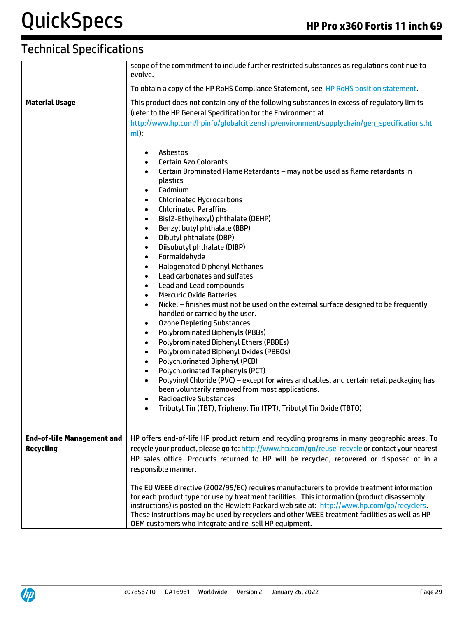|                                   | scope of the commitment to include further restricted substances as regulations continue to<br>evolve.                                                                                                                                                                                                                                                                                                                                                                                                                                                                                                                                                                                                                                                                                                                                                                                                                                                                                                                                                                                                                                                                                                                                                                                                                                                                                                                                                                                                                                                                                                                                                |  |  |
|-----------------------------------|-------------------------------------------------------------------------------------------------------------------------------------------------------------------------------------------------------------------------------------------------------------------------------------------------------------------------------------------------------------------------------------------------------------------------------------------------------------------------------------------------------------------------------------------------------------------------------------------------------------------------------------------------------------------------------------------------------------------------------------------------------------------------------------------------------------------------------------------------------------------------------------------------------------------------------------------------------------------------------------------------------------------------------------------------------------------------------------------------------------------------------------------------------------------------------------------------------------------------------------------------------------------------------------------------------------------------------------------------------------------------------------------------------------------------------------------------------------------------------------------------------------------------------------------------------------------------------------------------------------------------------------------------------|--|--|
|                                   | To obtain a copy of the HP RoHS Compliance Statement, see HP RoHS position statement.                                                                                                                                                                                                                                                                                                                                                                                                                                                                                                                                                                                                                                                                                                                                                                                                                                                                                                                                                                                                                                                                                                                                                                                                                                                                                                                                                                                                                                                                                                                                                                 |  |  |
| <b>Material Usage</b>             | This product does not contain any of the following substances in excess of regulatory limits<br>(refer to the HP General Specification for the Environment at<br>http://www.hp.com/hpinfo/globalcitizenship/environment/supplychain/gen_specifications.ht<br>$ml$ :<br>Asbestos<br>$\bullet$<br><b>Certain Azo Colorants</b><br>$\bullet$<br>Certain Brominated Flame Retardants - may not be used as flame retardants in<br>$\bullet$<br>plastics<br>Cadmium<br>$\bullet$<br><b>Chlorinated Hydrocarbons</b><br>$\bullet$<br><b>Chlorinated Paraffins</b><br>$\bullet$<br>Bis(2-Ethylhexyl) phthalate (DEHP)<br>$\bullet$<br>Benzyl butyl phthalate (BBP)<br>$\bullet$<br>Dibutyl phthalate (DBP)<br>$\bullet$<br>Diisobutyl phthalate (DIBP)<br>$\bullet$<br>Formaldehyde<br>$\bullet$<br><b>Halogenated Diphenyl Methanes</b><br>$\bullet$<br>Lead carbonates and sulfates<br>$\bullet$<br>Lead and Lead compounds<br>$\bullet$<br><b>Mercuric Oxide Batteries</b><br>$\bullet$<br>Nickel - finishes must not be used on the external surface designed to be frequently<br>$\bullet$<br>handled or carried by the user.<br><b>Ozone Depleting Substances</b><br>٠<br><b>Polybrominated Biphenyls (PBBs)</b><br>$\bullet$<br><b>Polybrominated Biphenyl Ethers (PBBEs)</b><br>$\bullet$<br>Polybrominated Biphenyl Oxides (PBBOs)<br>$\bullet$<br>Polychlorinated Biphenyl (PCB)<br>$\bullet$<br><b>Polychlorinated Terphenyls (PCT)</b><br>$\bullet$<br>Polyvinyl Chloride (PVC) - except for wires and cables, and certain retail packaging has<br>$\bullet$<br>been voluntarily removed from most applications.<br><b>Radioactive Substances</b> |  |  |
|                                   | Tributyl Tin (TBT), Triphenyl Tin (TPT), Tributyl Tin Oxide (TBTO)<br>$\bullet$                                                                                                                                                                                                                                                                                                                                                                                                                                                                                                                                                                                                                                                                                                                                                                                                                                                                                                                                                                                                                                                                                                                                                                                                                                                                                                                                                                                                                                                                                                                                                                       |  |  |
| <b>End-of-life Management and</b> | HP offers end-of-life HP product return and recycling programs in many geographic areas. To                                                                                                                                                                                                                                                                                                                                                                                                                                                                                                                                                                                                                                                                                                                                                                                                                                                                                                                                                                                                                                                                                                                                                                                                                                                                                                                                                                                                                                                                                                                                                           |  |  |
| <b>Recycling</b>                  | recycle your product, please go to: http://www.hp.com/go/reuse-recycle or contact your nearest<br>HP sales office. Products returned to HP will be recycled, recovered or disposed of in a<br>responsible manner.                                                                                                                                                                                                                                                                                                                                                                                                                                                                                                                                                                                                                                                                                                                                                                                                                                                                                                                                                                                                                                                                                                                                                                                                                                                                                                                                                                                                                                     |  |  |
|                                   | The EU WEEE directive (2002/95/EC) requires manufacturers to provide treatment information<br>for each product type for use by treatment facilities. This information (product disassembly<br>instructions) is posted on the Hewlett Packard web site at: http://www.hp.com/go/recyclers.<br>These instructions may be used by recyclers and other WEEE treatment facilities as well as HP<br>OEM customers who integrate and re-sell HP equipment.                                                                                                                                                                                                                                                                                                                                                                                                                                                                                                                                                                                                                                                                                                                                                                                                                                                                                                                                                                                                                                                                                                                                                                                                   |  |  |

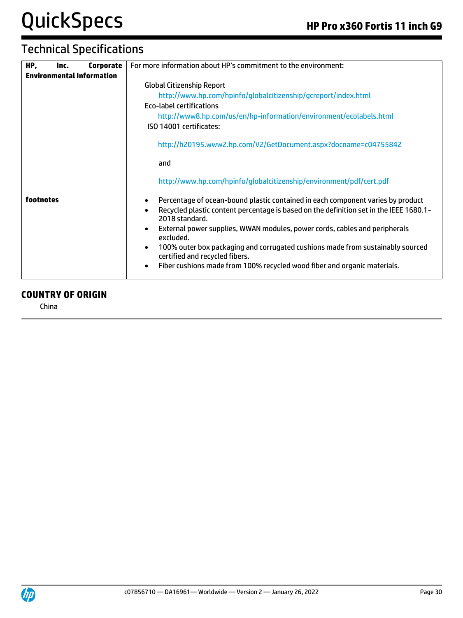# Technical Specifications

| HP,       | Inc. | Corporate                        | For more information about HP's commitment to the environment:                                                                                                                                           |  |  |
|-----------|------|----------------------------------|----------------------------------------------------------------------------------------------------------------------------------------------------------------------------------------------------------|--|--|
|           |      | <b>Environmental Information</b> |                                                                                                                                                                                                          |  |  |
|           |      |                                  | <b>Global Citizenship Report</b>                                                                                                                                                                         |  |  |
|           |      |                                  | http://www.hp.com/hpinfo/globalcitizenship/gcreport/index.html                                                                                                                                           |  |  |
|           |      |                                  | <b>Eco-label certifications</b>                                                                                                                                                                          |  |  |
|           |      |                                  | http://www8.hp.com/us/en/hp-information/environment/ecolabels.html                                                                                                                                       |  |  |
|           |      |                                  | ISO 14001 certificates:                                                                                                                                                                                  |  |  |
|           |      |                                  | http://h20195.www2.hp.com/V2/GetDocument.aspx?docname=c04755842                                                                                                                                          |  |  |
|           |      |                                  | and                                                                                                                                                                                                      |  |  |
|           |      |                                  | http://www.hp.com/hpinfo/globalcitizenship/environment/pdf/cert.pdf                                                                                                                                      |  |  |
| footnotes |      |                                  | Percentage of ocean-bound plastic contained in each component varies by product<br>$\bullet$<br>Recycled plastic content percentage is based on the definition set in the IEEE 1680.1-<br>2018 standard. |  |  |
|           |      |                                  | External power supplies, WWAN modules, power cords, cables and peripherals<br>excluded.                                                                                                                  |  |  |
|           |      |                                  | 100% outer box packaging and corrugated cushions made from sustainably sourced<br>certified and recycled fibers.                                                                                         |  |  |
|           |      |                                  | Fiber cushions made from 100% recycled wood fiber and organic materials.<br>$\bullet$                                                                                                                    |  |  |

#### **COUNTRY OF ORIGIN**

China

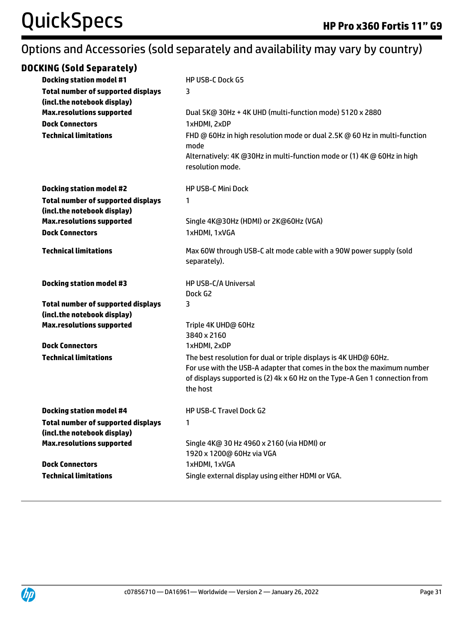## Options and Accessories (sold separately and availability may vary by country)

| <b>DOCKING (Sold Separately)</b>                                         |                                                                                                                                                                    |
|--------------------------------------------------------------------------|--------------------------------------------------------------------------------------------------------------------------------------------------------------------|
| <b>Docking station model #1</b>                                          | <b>HP USB-C Dock G5</b>                                                                                                                                            |
| <b>Total number of supported displays</b>                                | 3                                                                                                                                                                  |
| (incl.the notebook display)                                              |                                                                                                                                                                    |
| <b>Max.resolutions supported</b>                                         | Dual 5K@ 30Hz + 4K UHD (multi-function mode) 5120 x 2880                                                                                                           |
| <b>Dock Connectors</b>                                                   | 1xHDMI, 2xDP                                                                                                                                                       |
| <b>Technical limitations</b>                                             | FHD @ 60Hz in high resolution mode or dual 2.5K @ 60 Hz in multi-function<br>mode                                                                                  |
|                                                                          | Alternatively: 4K @30Hz in multi-function mode or (1) 4K @ 60Hz in high<br>resolution mode.                                                                        |
| <b>Docking station model #2</b>                                          | <b>HP USB-C Mini Dock</b>                                                                                                                                          |
| <b>Total number of supported displays</b><br>(incl.the notebook display) | $\mathbf{1}$                                                                                                                                                       |
| <b>Max.resolutions supported</b>                                         | Single 4K@30Hz (HDMI) or 2K@60Hz (VGA)                                                                                                                             |
| <b>Dock Connectors</b>                                                   | 1xHDMI, 1xVGA                                                                                                                                                      |
| <b>Technical limitations</b>                                             | Max 60W through USB-C alt mode cable with a 90W power supply (sold<br>separately).                                                                                 |
| <b>Docking station model #3</b>                                          | <b>HP USB-C/A Universal</b>                                                                                                                                        |
|                                                                          | Dock G2                                                                                                                                                            |
| <b>Total number of supported displays</b>                                | 3                                                                                                                                                                  |
| (incl.the notebook display)                                              |                                                                                                                                                                    |
| <b>Max.resolutions supported</b>                                         | Triple 4K UHD@ 60Hz<br>3840 x 2160                                                                                                                                 |
| <b>Dock Connectors</b>                                                   | 1xHDMI, 2xDP                                                                                                                                                       |
| <b>Technical limitations</b>                                             | The best resolution for dual or triple displays is 4K UHD@ 60Hz.                                                                                                   |
|                                                                          | For use with the USB-A adapter that comes in the box the maximum number<br>of displays supported is (2) 4k x 60 Hz on the Type-A Gen 1 connection from<br>the host |
| <b>Docking station model #4</b>                                          | HP USB-C Travel Dock G2                                                                                                                                            |
| <b>Total number of supported displays</b>                                | $\mathbf{1}$                                                                                                                                                       |
| (incl.the notebook display)                                              |                                                                                                                                                                    |
| <b>Max.resolutions supported</b>                                         | Single 4K@ 30 Hz 4960 x 2160 (via HDMI) or                                                                                                                         |
|                                                                          | 1920 x 1200@ 60Hz via VGA                                                                                                                                          |
| <b>Dock Connectors</b>                                                   | 1xHDMI, 1xVGA                                                                                                                                                      |
| <b>Technical limitations</b>                                             | Single external display using either HDMI or VGA.                                                                                                                  |

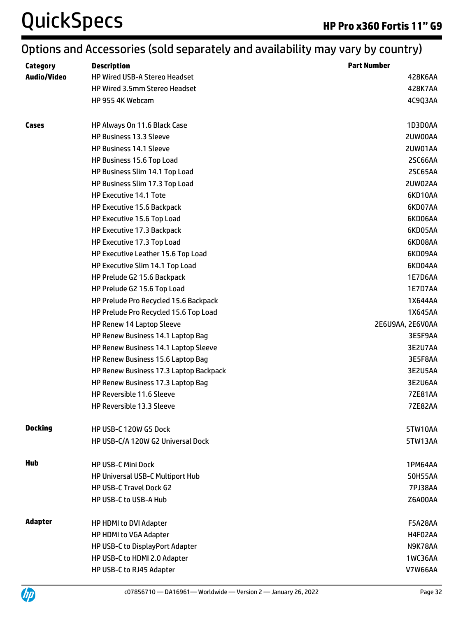# Options and Accessories (sold separately and availability may vary by country)

| Category           | <b>Description</b>                     | <b>Part Number</b> |
|--------------------|----------------------------------------|--------------------|
| <b>Audio/Video</b> | <b>HP Wired USB-A Stereo Headset</b>   | 428K6AA            |
|                    | <b>HP Wired 3.5mm Stereo Headset</b>   | 428K7AA            |
|                    | HP 955 4K Webcam                       | 4C9Q3AA            |
| Cases              | HP Always On 11.6 Black Case           | 1D3D0AA            |
|                    | <b>HP Business 13.3 Sleeve</b>         | 2UW00AA            |
|                    | <b>HP Business 14.1 Sleeve</b>         | 2UW01AA            |
|                    | HP Business 15.6 Top Load              | 2SC66AA            |
|                    | HP Business Slim 14.1 Top Load         | 2SC65AA            |
|                    | HP Business Slim 17.3 Top Load         | 2UW02AA            |
|                    | HP Executive 14.1 Tote                 | 6KD10AA            |
|                    | HP Executive 15.6 Backpack             | 6KD07AA            |
|                    | HP Executive 15.6 Top Load             | 6KD06AA            |
|                    | HP Executive 17.3 Backpack             | 6KD05AA            |
|                    | HP Executive 17.3 Top Load             | 6KD08AA            |
|                    | HP Executive Leather 15.6 Top Load     | 6KD09AA            |
|                    | HP Executive Slim 14.1 Top Load        | 6KD04AA            |
|                    | HP Prelude G2 15.6 Backpack            | 1E7D6AA            |
|                    | HP Prelude G2 15.6 Top Load            | 1E7D7AA            |
|                    | HP Prelude Pro Recycled 15.6 Backpack  | 1X644AA            |
|                    | HP Prelude Pro Recycled 15.6 Top Load  | 1X645AA            |
|                    | HP Renew 14 Laptop Sleeve              | 2E6U9AA, 2E6V0AA   |
|                    | HP Renew Business 14.1 Laptop Bag      | 3E5F9AA            |
|                    | HP Renew Business 14.1 Laptop Sleeve   | 3E2U7AA            |
|                    | HP Renew Business 15.6 Laptop Bag      | 3E5F8AA            |
|                    | HP Renew Business 17.3 Laptop Backpack | 3E2U5AA            |
|                    | HP Renew Business 17.3 Laptop Bag      | 3E2U6AA            |
|                    | HP Reversible 11.6 Sleeve              | <b>7ZE81AA</b>     |
|                    | HP Reversible 13.3 Sleeve              | <b>7ZE82AA</b>     |
| <b>Docking</b>     | HP USB-C 120W G5 Dock                  | 5TW10AA            |
|                    | HP USB-C/A 120W G2 Universal Dock      | 5TW13AA            |
| Hub                | <b>HP USB-C Mini Dock</b>              | 1PM64AA            |
|                    | HP Universal USB-C Multiport Hub       | 50H55AA            |
|                    | HP USB-C Travel Dock G2                | <b>7PJ38AA</b>     |
|                    | <b>HP USB-C to USB-A Hub</b>           | Z6A00AA            |
| <b>Adapter</b>     | HP HDMI to DVI Adapter                 | <b>F5A28AA</b>     |
|                    | HP HDMI to VGA Adapter                 | H4F02AA            |
|                    | HP USB-C to DisplayPort Adapter        | N9K78AA            |
|                    | HP USB-C to HDMI 2.0 Adapter           | 1WC36AA            |
|                    | HP USB-C to RJ45 Adapter               | <b>V7W66AA</b>     |

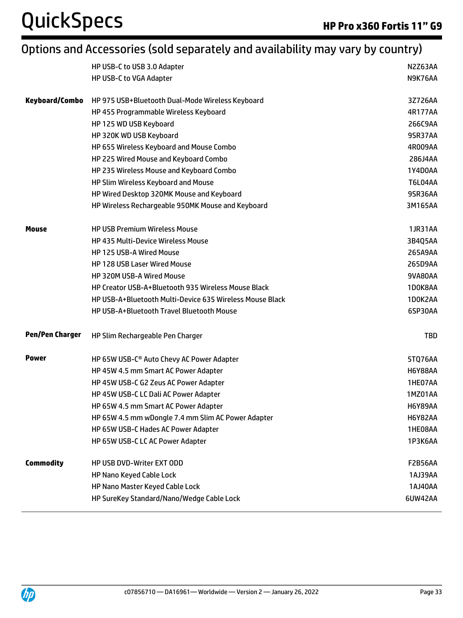# Options and Accessories (sold separately and availability may vary by country)

|                        | HP USB-C to USB 3.0 Adapter                              | <b>N2Z63AA</b> |
|------------------------|----------------------------------------------------------|----------------|
|                        | HP USB-C to VGA Adapter                                  | N9K76AA        |
|                        |                                                          |                |
| Keyboard/Combo         | HP 975 USB+Bluetooth Dual-Mode Wireless Keyboard         | 3Z726AA        |
|                        | HP 455 Programmable Wireless Keyboard                    | 4R177AA        |
|                        | HP 125 WD USB Keyboard                                   | 266C9AA        |
|                        | HP 320K WD USB Keyboard                                  | 9SR37AA        |
|                        | HP 655 Wireless Keyboard and Mouse Combo                 | 4R009AA        |
|                        | HP 225 Wired Mouse and Keyboard Combo                    | 286J4AA        |
|                        | HP 235 Wireless Mouse and Keyboard Combo                 | 1Y4D0AA        |
|                        | HP Slim Wireless Keyboard and Mouse                      | <b>T6L04AA</b> |
|                        | HP Wired Desktop 320MK Mouse and Keyboard                | 9SR36AA        |
|                        | HP Wireless Rechargeable 950MK Mouse and Keyboard        | 3M165AA        |
| Mouse                  | <b>HP USB Premium Wireless Mouse</b>                     | 1JR31AA        |
|                        | <b>HP 435 Multi-Device Wireless Mouse</b>                | 3B4Q5AA        |
|                        | HP 125 USB-A Wired Mouse                                 | 265A9AA        |
|                        | <b>HP 128 USB Laser Wired Mouse</b>                      | 265D9AA        |
|                        | <b>HP 320M USB-A Wired Mouse</b>                         | 9VA80AA        |
|                        | HP Creator USB-A+Bluetooth 935 Wireless Mouse Black      | 1D0K8AA        |
|                        | HP USB-A+Bluetooth Multi-Device 635 Wireless Mouse Black | 1D0K2AA        |
|                        | HP USB-A+Bluetooth Travel Bluetooth Mouse                | 6SP30AA        |
| <b>Pen/Pen Charger</b> | HP Slim Rechargeable Pen Charger                         | <b>TBD</b>     |
| <b>Power</b>           | HP 65W USB-C <sup>®</sup> Auto Chevy AC Power Adapter    | 5TQ76AA        |
|                        | HP 45W 4.5 mm Smart AC Power Adapter                     | <b>H6Y88AA</b> |
|                        | HP 45W USB-C G2 Zeus AC Power Adapter                    | 1HE07AA        |
|                        | HP 45W USB-C LC Dali AC Power Adapter                    | 1MZ01AA        |
|                        | HP 65W 4.5 mm Smart AC Power Adapter                     | <b>H6Y89AA</b> |
|                        | HP 65W 4.5 mm wDongle 7.4 mm Slim AC Power Adapter       | <b>H6Y82AA</b> |
|                        | HP 65W USB-C Hades AC Power Adapter                      | 1HE08AA        |
|                        | HP 65W USB-C LC AC Power Adapter                         | 1P3K6AA        |
| <b>Commodity</b>       | HP USB DVD-Writer EXT ODD                                | <b>F2B56AA</b> |
|                        | HP Nano Keyed Cable Lock                                 | 1AJ39AA        |
|                        | HP Nano Master Keyed Cable Lock                          | 1AJ40AA        |
|                        | HP SureKey Standard/Nano/Wedge Cable Lock                | 6UW42AA        |
|                        |                                                          |                |